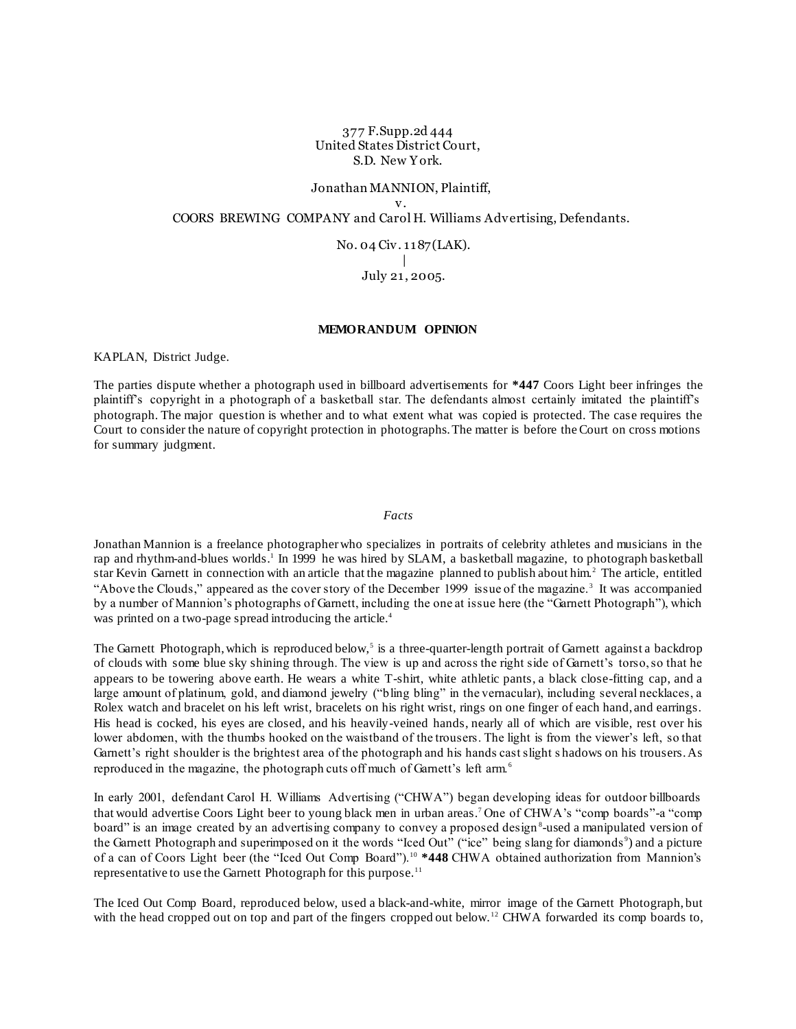## 377 F.Supp.2d 444 United States District Court, S.D. New Y ork.

# Jonathan MANNION, Plaintiff, v. COORS BREWING COMPANY and Carol H. Williams Advertising, Defendants. No. 04 Civ. 1187(LAK).

 $\blacksquare$ July 21, 2005.

# **MEMORANDUM OPINION**

KAPLAN, District Judge.

The parties dispute whether a photograph used in billboard advertisements for **\*447** Coors Light beer infringes the plaintiff's copyright in a photograph of a basketball star. The defendants almost certainly imitated the plaintiff's photograph. The major question is whether and to what extent what was copied is protected. The case requires the Court to consider the nature of copyright protection in photographs. The matter is before the Court on cross motions for summary judgment.

# *Facts*

Jonathan Mannion is a freelance photographer who specializes in portraits of celebrity athletes and musicians in the rap and rhythm-and-blues worlds.<sup>1</sup> In 1999 he was hired by SLAM, a basketball magazine, to photograph basketball star Kevin Garnett in connection with an article that the magazine planned to publish about him.<sup>2</sup> The article, entitled "Above the Clouds," appeared as the cover story of the December 1999 issue of the magazine.<sup>3</sup> It was accompanied by a number of Mannion's photographs of Garnett, including the one at issue here (the "Garnett Photograph"), which was printed on a two-page spread introducing the article.<sup>4</sup>

The Garnett Photograph, which is reproduced below,<sup>5</sup> is a three-quarter-length portrait of Garnett against a backdrop of clouds with some blue sky shining through. The view is up and across the right side of Garnett's torso, so that he appears to be towering above earth. He wears a white T-shirt, white athletic pants, a black close-fitting cap, and a large amount of platinum, gold, and diamond jewelry ("bling bling" in the vernacular), including several necklaces, a Rolex watch and bracelet on his left wrist, bracelets on his right wrist, rings on one finger of each hand, and earrings. His head is cocked, his eyes are closed, and his heavily-veined hands, nearly all of which are visible, rest over his lower abdomen, with the thumbs hooked on the waistband of the trousers. The light is from the viewer's left, so that Garnett's right shoulder is the brightest area of the photograph and his hands cast slight s hadows on his trousers. As reproduced in the magazine, the photograph cuts off much of Garnett's left arm.<sup>6</sup>

In early 2001, defendant Carol H. Williams Advertising ("CHWA") began developing ideas for outdoor billboards that would advertise Coors Light beer to young black men in urban areas.<sup>7</sup> One of CHWA's "comp boards"-a "comp board" is an image created by an advertising company to convey a proposed design<sup>8</sup>-used a manipulated version of the Garnett Photograph and superimposed on it the words "Iced Out" ("ice" being slang for diamonds<sup>9</sup>) and a picture of a can of Coors Light beer (the "Iced Out Comp Board").<sup>10</sup> **\*448** CHWA obtained authorization from Mannion's representative to use the Garnett Photograph for this purpose.<sup>11</sup>

The Iced Out Comp Board, reproduced below, used a black-and-white, mirror image of the Garnett Photograph, but with the head cropped out on top and part of the fingers cropped out below.<sup>12</sup> CHWA forwarded its comp boards to,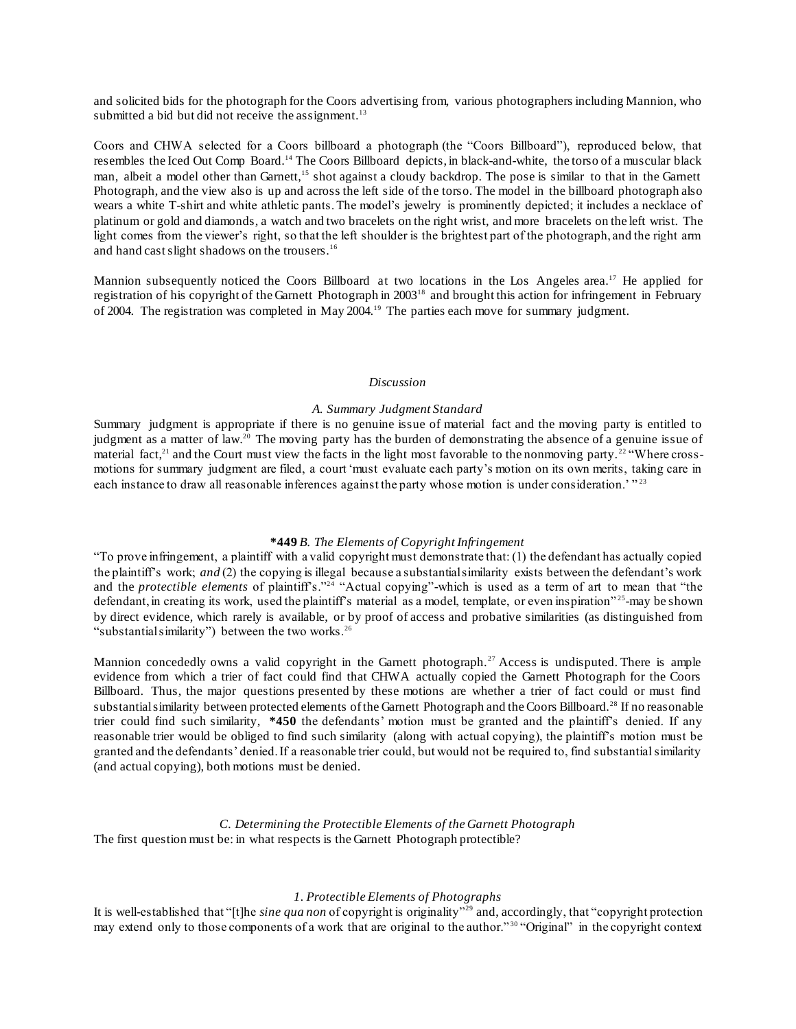and solicited bids for the photograph for the Coors advertising from, various photographers including Mannion, who submitted a bid but did not receive the assignment.<sup>13</sup>

Coors and CHWA selected for a Coors billboard a photograph (the "Coors Billboard"), reproduced below, that resembles the Iced Out Comp Board.<sup>14</sup> The Coors Billboard depicts, in black-and-white, the torso of a muscular black man, albeit a model other than Garnett,<sup>15</sup> shot against a cloudy backdrop. The pose is similar to that in the Garnett Photograph, and the view also is up and across the left side of the torso. The model in the billboard photograph also wears a white T-shirt and white athletic pants. The model's jewelry is prominently depicted; it includes a necklace of platinum or gold and diamonds, a watch and two bracelets on the right wrist, and more bracelets on the left wrist. The light comes from the viewer's right, so that the left shoulder is the brightest part of the photograph, and the right arm and hand cast slight shadows on the trousers.<sup>16</sup>

Mannion subsequently noticed the Coors Billboard at two locations in the Los Angeles area.<sup>17</sup> He applied for registration of his copyright of the Garnett Photograph in 2003<sup>18</sup> and brought this action for infringement in February of 2004. The registration was completed in May 2004.<sup>19</sup> The parties each move for summary judgment.

#### *Discussion*

# *A. Summary Judgment Standard*

Summary judgment is appropriate if there is no genuine issue of material fact and the moving party is entitled to judgment as a matter of law.<sup>20</sup> The moving party has the burden of demonstrating the absence of a genuine issue of material fact,<sup>21</sup> and the Court must view the facts in the light most favorable to the nonmoving party.<sup>22</sup> "Where crossmotions for summary judgment are filed, a court 'must evaluate each party's motion on its own merits, taking care in each instance to draw all reasonable inferences against the party whose motion is under consideration.'"<sup>23</sup>

#### **\*449** *B. The Elements of Copyright Infringement*

"To prove infringement, a plaintiff with a valid copyright must demonstrate that: (1) the defendant has actually copied the plaintiff's work; *and* (2) the copying is illegal because a substantial similarity exists between the defendant's work and the *protectible elements* of plaintiff's."<sup>24</sup> "Actual copying"-which is used as a term of art to mean that "the defendant, in creating its work, used the plaintiff's material as a model, template, or even inspiration"<sup>25</sup>-may be shown by direct evidence, which rarely is available, or by proof of access and probative similarities (as distinguished from "substantial similarity") between the two works. $26$ 

Mannion concededly owns a valid copyright in the Garnett photograph.<sup>27</sup> Access is undisputed. There is ample evidence from which a trier of fact could find that CHWA actually copied the Garnett Photograph for the Coors Billboard. Thus, the major questions presented by these motions are whether a trier of fact could or must find substantial similarity between protected elements of the Garnett Photograph and the Coors Billboard.<sup>28</sup> If no reasonable trier could find such similarity, **\*450** the defendants' motion must be granted and the plaintiff's denied. If any reasonable trier would be obliged to find such similarity (along with actual copying), the plaintiff's motion must be granted and the defendants' denied. If a reasonable trier could, but would not be required to, find substantial similarity (and actual copying), both motions must be denied.

*C. Determining the Protectible Elements of the Garnett Photograph* The first question must be: in what respects is the Garnett Photograph protectible?

#### *1. Protectible Elements of Photographs*

It is well-established that "[t]he *sine qua non* of copyright is originality"<sup>29</sup> and, accordingly, that "copyright protection may extend only to those components of a work that are original to the author."<sup>30</sup> "Original" in the copyright context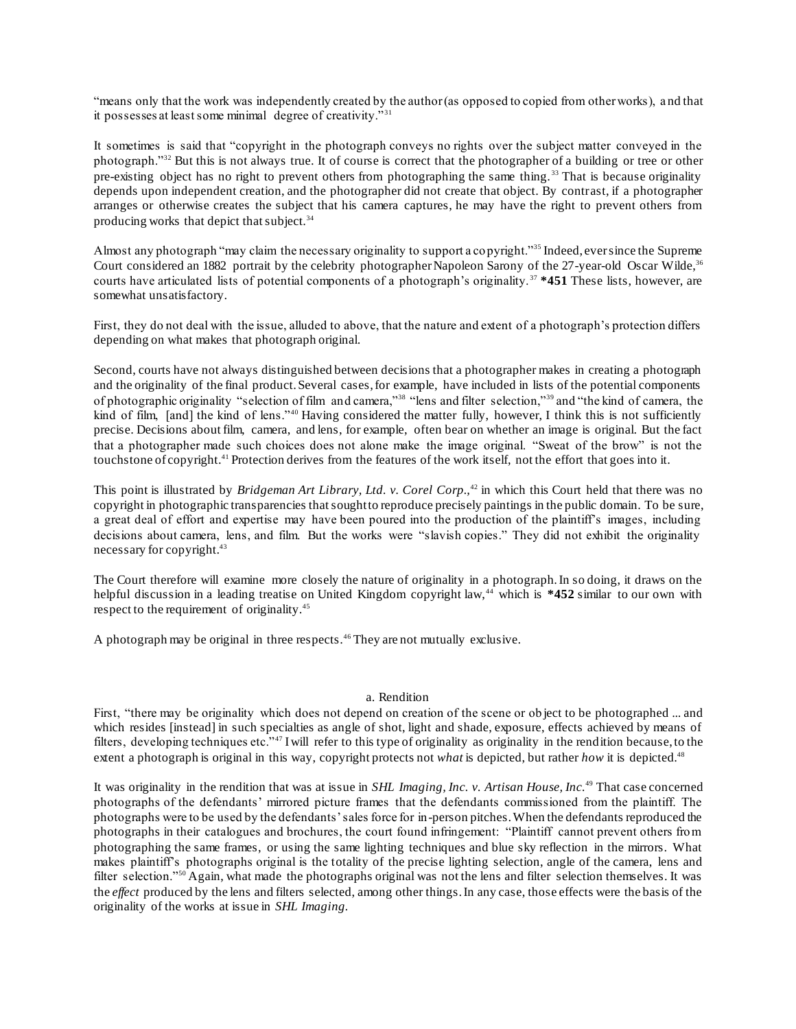"means only that the work was independently created by the author (as opposed to copied from other works), a nd that it possesses at least some minimal degree of creativity."<sup>31</sup>

It sometimes is said that "copyright in the photograph conveys no rights over the subject matter conveyed in the photograph."<sup>32</sup> But this is not always true. It of course is correct that the photographer of a building or tree or other pre-existing object has no right to prevent others from photographing the same thing. <sup>33</sup> That is because originality depends upon independent creation, and the photographer did not create that object. By contrast, if a photographer arranges or otherwise creates the subject that his camera captures, he may have the right to prevent others from producing works that depict that subject.<sup>34</sup>

Almost any photograph "may claim the necessary originality to support a copyright."<sup>35</sup> Indeed, ever since the Supreme Court considered an 1882 portrait by the celebrity photographer Napoleon Sarony of the 27-year-old Oscar Wilde,<sup>36</sup> courts have articulated lists of potential components of a photograph's originality. <sup>37</sup> **\*451** These lists, however, are somewhat unsatisfactory.

First, they do not deal with the issue, alluded to above, that the nature and extent of a photograph's protection differs depending on what makes that photograph original.

Second, courts have not always distinguished between decisions that a photographer makes in creating a photograph and the originality of the final product. Several cases, for example, have included in lists of the potential components of photographic originality "selection of film and camera,"<sup>38</sup> "lens and filter selection,"<sup>39</sup> and "the kind of camera, the kind of film, [and] the kind of lens."<sup>40</sup> Having considered the matter fully, however, I think this is not sufficiently precise. Decisions about film, camera, and lens, for example, often bear on whether an image is original. But the fact that a photographer made such choices does not alone make the image original. "Sweat of the brow" is not the touchstone of copyright.<sup>41</sup> Protection derives from the features of the work itself, not the effort that goes into it.

This point is illustrated by *Bridgeman Art Library, Ltd. v. Corel Corp.,*<sup>42</sup> in which this Court held that there was no copyright in photographic transparencies that sought to reproduce precisely paintings in the public domain. To be sure, a great deal of effort and expertise may have been poured into the production of the plaintiff's images, including decisions about camera, lens, and film. But the works were "slavish copies." They did not exhibit the originality necessary for copyright.<sup>43</sup>

The Court therefore will examine more closely the nature of originality in a photograph. In so doing, it draws on the helpful discussion in a leading treatise on United Kingdom copyright law,<sup>44</sup> which is **\*452** similar to our own with respect to the requirement of originality.<sup>45</sup>

A photograph may be original in three respects.<sup>46</sup> They are not mutually exclusive.

#### a. Rendition

First, "there may be originality which does not depend on creation of the scene or object to be photographed ... and which resides [instead] in such specialties as angle of shot, light and shade, exposure, effects achieved by means of filters, developing techniques etc."<sup>47</sup> I will refer to this type of originality as originality in the rendition because, to the extent a photograph is original in this way, copyright protects not *what* is depicted, but rather *how* it is depicted.<sup>48</sup>

It was originality in the rendition that was at issue in *SHL Imaging, Inc. v. Artisan House, Inc.*<sup>49</sup> That case concerned photographs of the defendants' mirrored picture frames that the defendants commissioned from the plaintiff. The photographs were to be used by the defendants' sales force for in-person pitches. When the defendants reproduced the photographs in their catalogues and brochures, the court found infringement: "Plaintiff cannot prevent others from photographing the same frames, or using the same lighting techniques and blue sky reflection in the mirrors. What makes plaintiff's photographs original is the totality of the precise lighting selection, angle of the camera, lens and filter selection."<sup>50</sup> Again, what made the photographs original was not the lens and filter selection themselves. It was the *effect* produced by the lens and filters selected, among other things. In any case, those effects were the basis of the originality of the works at issue in *SHL Imaging.*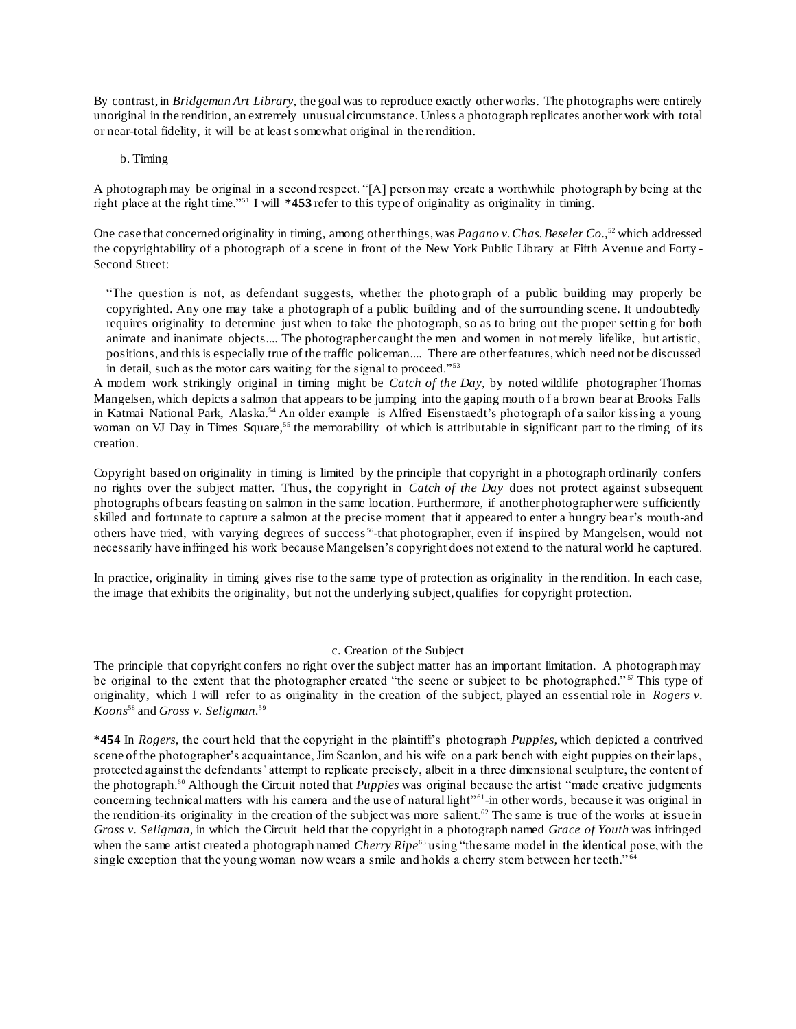By contrast, in *Bridgeman Art Library,* the goal was to reproduce exactly other works. The photographs were entirely unoriginal in the rendition, an extremely unusual circumstance. Unless a photograph replicates another work with total or near-total fidelity, it will be at least somewhat original in the rendition.

#### b. Timing

A photograph may be original in a second respect. "[A] person may create a worthwhile photograph by being at the right place at the right time."<sup>51</sup> I will **\*453** refer to this type of originality as originality in timing.

One case that concerned originality in timing, among other things, was *Pagano v. Chas. Beseler Co.*,<sup>52</sup> which addressed the copyrightability of a photograph of a scene in front of the New York Public Library at Fifth Avenue and Forty - Second Street:

"The question is not, as defendant suggests, whether the photograph of a public building may properly be copyrighted. Any one may take a photograph of a public building and of the surrounding scene. It undoubtedly requires originality to determine just when to take the photograph, so as to bring out the proper settin g for both animate and inanimate objects.... The photographer caught the men and women in not merely lifelike, but artistic, positions, and this is especially true of the traffic policeman.... There are other features, which need not be discussed in detail, such as the motor cars waiting for the signal to proceed."<sup>53</sup>

A modern work strikingly original in timing might be *Catch of the Day,* by noted wildlife photographer Thomas Mangelsen, which depicts a salmon that appears to be jumping into the gaping mouth of a brown bear at Brooks Falls in Katmai National Park, Alaska.<sup>54</sup> An older example is Alfred Eisenstaedt's photograph of a sailor kissing a young woman on VJ Day in Times Square,<sup>55</sup> the memorability of which is attributable in significant part to the timing of its creation.

Copyright based on originality in timing is limited by the principle that copyright in a photograph ordinarily confers no rights over the subject matter. Thus, the copyright in *Catch of the Day* does not protect against subsequent photographs of bears feasting on salmon in the same location. Furthermore, if another photographer were sufficiently skilled and fortunate to capture a salmon at the precise moment that it appeared to enter a hungry bear's mouth-and others have tried, with varying degrees of success<sup>56</sup>-that photographer, even if inspired by Mangelsen, would not necessarily have infringed his work because Mangelsen's copyright does not extend to the natural world he captured.

In practice, originality in timing gives rise to the same type of protection as originality in the rendition. In each case, the image that exhibits the originality, but not the underlying subject, qualifies for copyright protection.

#### c. Creation of the Subject

The principle that copyright confers no right over the subject matter has an important limitation. A photograph may be original to the extent that the photographer created "the scene or subject to be photographed."<sup>57</sup> This type of originality, which I will refer to as originality in the creation of the subject, played an essential role in *Rogers v. Koons*<sup>58</sup> and *Gross v. Seligman.*<sup>59</sup>

**\*454** In *Rogers,* the court held that the copyright in the plaintiff's photograph *Puppies,* which depicted a contrived scene of the photographer's acquaintance, Jim Scanlon, and his wife on a park bench with eight puppies on their laps, protected against the defendants' attempt to replicate precisely, albeit in a three dimensional sculpture, the content of the photograph.<sup>60</sup> Although the Circuit noted that *Puppies* was original because the artist "made creative judgments concerning technical matters with his camera and the use of natural light" <sup>61</sup> -in other words, because it was original in the rendition-its originality in the creation of the subject was more salient.<sup>62</sup> The same is true of the works at issue in *Gross v. Seligman,* in which the Circuit held that the copyright in a photograph named *Grace of Youth* was infringed when the same artist created a photograph named *Cherry Ripe*<sup>63</sup> using "the same model in the identical pose, with the single exception that the young woman now wears a smile and holds a cherry stem between her teeth."<sup>64</sup>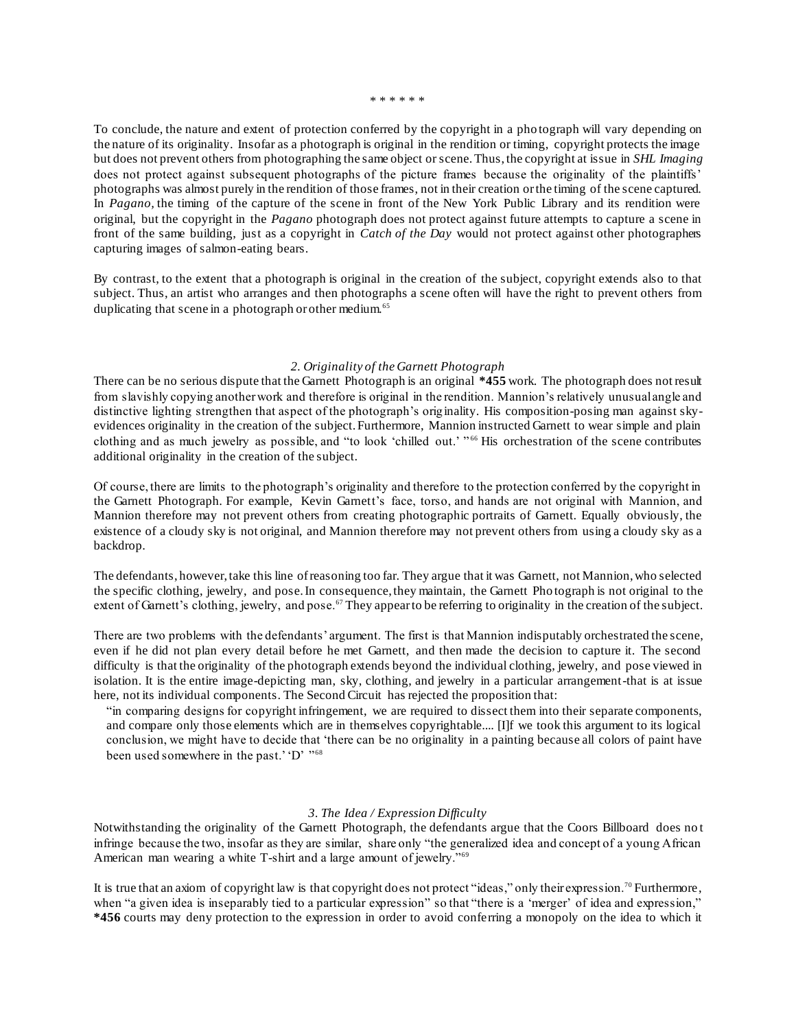#### \* \* \* \* \* \*

To conclude, the nature and extent of protection conferred by the copyright in a pho tograph will vary depending on the nature of its originality. Insofar as a photograph is original in the rendition or timing, copyright protects the image but does not prevent others from photographing the same object or scene. Thus, the copyright at issue in *SHL Imaging* does not protect against subsequent photographs of the picture frames because the originality of the plaintiffs' photographs was almost purely in the rendition of those frames, not in their creation or the timing of the scene captured. In *Pagano,* the timing of the capture of the scene in front of the New York Public Library and its rendition were original, but the copyright in the *Pagano* photograph does not protect against future attempts to capture a scene in front of the same building, just as a copyright in *Catch of the Day* would not protect against other photographers capturing images of salmon-eating bears.

By contrast, to the extent that a photograph is original in the creation of the subject, copyright extends also to that subject. Thus, an artist who arranges and then photographs a scene often will have the right to prevent others from duplicating that scene in a photograph or other medium.<sup>65</sup>

#### *2. Originality of the Garnett Photograph*

There can be no serious dispute that the Garnett Photograph is an original **\*455** work. The photograph does not result from slavishly copying another work and therefore is original in the rendition. Mannion's relatively unusual angle and distinctive lighting strengthen that aspect of the photograph's originality. His composition-posing man against skyevidences originality in the creation of the subject. Furthermore, Mannion instructed Garnett to wear simple and plain clothing and as much jewelry as possible, and "to look 'chilled out.' "<sup>66</sup> His orchestration of the scene contributes additional originality in the creation of the subject.

Of course, there are limits to the photograph's originality and therefore to the protection conferred by the copyright in the Garnett Photograph. For example, Kevin Garnett's face, torso, and hands are not original with Mannion, and Mannion therefore may not prevent others from creating photographic portraits of Garnett. Equally obviously, the existence of a cloudy sky is not original, and Mannion therefore may not prevent others from using a cloudy sky as a backdrop.

The defendants, however, take this line of reasoning too far. They argue that it was Garnett, not Mannion, who selected the specific clothing, jewelry, and pose. In consequence, they maintain, the Garnett Pho tograph is not original to the extent of Garnett's clothing, jewelry, and pose.<sup>67</sup> They appear to be referring to originality in the creation of the subject.

There are two problems with the defendants' argument. The first is that Mannion indisputably orchestrated the scene, even if he did not plan every detail before he met Garnett, and then made the decision to capture it. The second difficulty is that the originality of the photograph extends beyond the individual clothing, jewelry, and pose viewed in isolation. It is the entire image-depicting man, sky, clothing, and jewelry in a particular arrangement-that is at issue here, not its individual components. The Second Circuit has rejected the proposition that:

"in comparing designs for copyright infringement, we are required to dissect them into their separate components, and compare only those elements which are in themselves copyrightable.... [I]f we took this argument to its logical conclusion, we might have to decide that 'there can be no originality in a painting because all colors of paint have been used somewhere in the past.' 'D' "68

## *3. The Idea / Expression Difficulty*

Notwithstanding the originality of the Garnett Photograph, the defendants argue that the Coors Billboard does no t infringe because the two, insofar as they are similar, share only "the generalized idea and concept of a young African American man wearing a white T-shirt and a large amount of jewelry."<sup>69</sup>

It is true that an axiom of copyright law is that copyright does not protect "ideas," only their expression.<sup>70</sup> Furthermore, when "a given idea is inseparably tied to a particular expression" so that "there is a 'merger' of idea and expression," **\*456** courts may deny protection to the expression in order to avoid conferring a monopoly on the idea to which it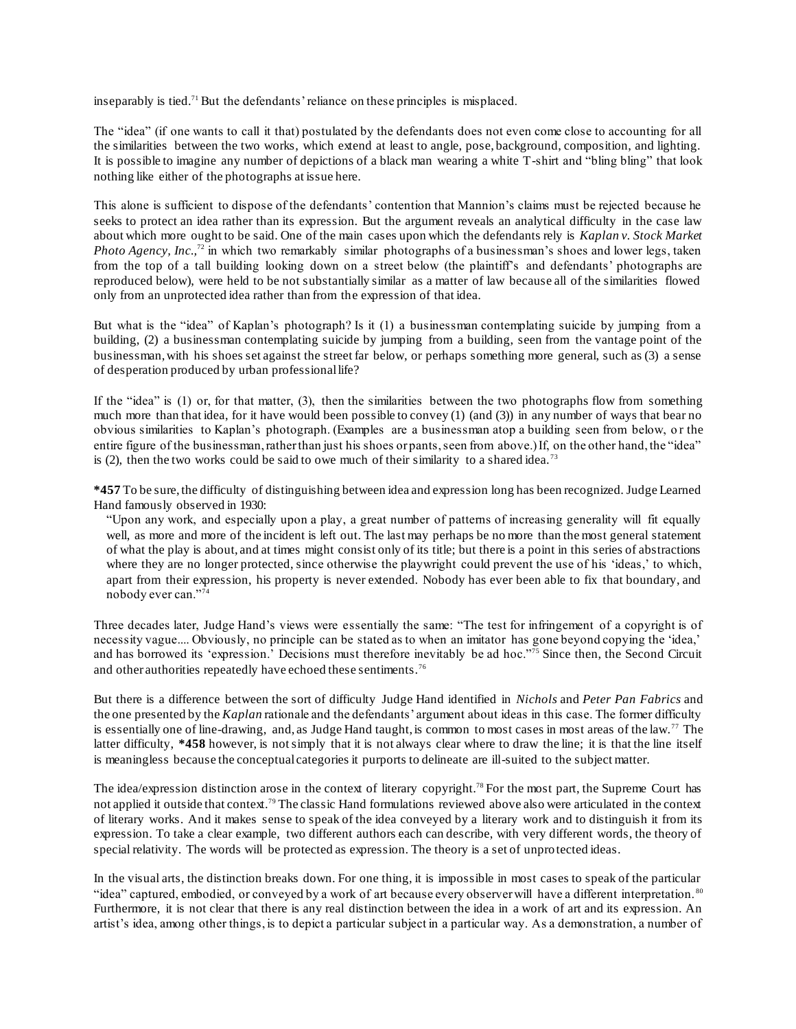inseparably is tied.<sup>71</sup> But the defendants' reliance on these principles is misplaced.

The "idea" (if one wants to call it that) postulated by the defendants does not even come close to accounting for all the similarities between the two works, which extend at least to angle, pose, background, composition, and lighting. It is possible to imagine any number of depictions of a black man wearing a white T-shirt and "bling bling" that look nothing like either of the photographs at issue here.

This alone is sufficient to dispose of the defendants' contention that Mannion's claims must be rejected because he seeks to protect an idea rather than its expression. But the argument reveals an analytical difficulty in the case law about which more ought to be said. One of the main cases upon which the defendants rely is *Kaplan v. Stock Market Photo Agency, Inc.*,<sup>72</sup> in which two remarkably similar photographs of a businessman's shoes and lower legs, taken from the top of a tall building looking down on a street below (the plaintiff's and defendants' photographs are reproduced below), were held to be not substantially similar as a matter of law because all of the similarities flowed only from an unprotected idea rather than from the expression of that idea.

But what is the "idea" of Kaplan's photograph? Is it (1) a businessman contemplating suicide by jumping from a building, (2) a businessman contemplating suicide by jumping from a building, seen from the vantage point of the businessman, with his shoes set against the street far below, or perhaps something more general, such as (3) a sense of desperation produced by urban professional life?

If the "idea" is (1) or, for that matter, (3), then the similarities between the two photographs flow from something much more than that idea, for it have would been possible to convey (1) (and (3)) in any number of ways that bear no obvious similarities to Kaplan's photograph. (Examples are a businessman atop a building seen from below, o r the entire figure of the businessman, rather than just his shoes or pants, seen from above.) If, on the other hand, the "idea" is (2), then the two works could be said to owe much of their similarity to a shared idea.<sup>73</sup>

**\*457** To be sure, the difficulty of distinguishing between idea and expression long has been recognized. Judge Learned Hand famously observed in 1930:

"Upon any work, and especially upon a play, a great number of patterns of increasing generality will fit equally well, as more and more of the incident is left out. The last may perhaps be no more than the most general statement of what the play is about, and at times might consist only of its title; but there is a point in this series of abstractions where they are no longer protected, since otherwise the playwright could prevent the use of his 'ideas,' to which, apart from their expression, his property is never extended. Nobody has ever been able to fix that boundary, and nobody ever can."<sup>74</sup>

Three decades later, Judge Hand's views were essentially the same: "The test for infringement of a copyright is of necessity vague.... Obviously, no principle can be stated as to when an imitator has gone beyond copying the 'idea,' and has borrowed its 'expression.' Decisions must therefore inevitably be ad hoc."<sup>75</sup> Since then, the Second Circuit and other authorities repeatedly have echoed these sentiments.<sup>76</sup>

But there is a difference between the sort of difficulty Judge Hand identified in *Nichols* and *Peter Pan Fabrics* and the one presented by the *Kaplan* rationale and the defendants' argument about ideas in this case. The former difficulty is essentially one of line-drawing, and, as Judge Hand taught, is common to most cases in most areas of the law.<sup>77</sup> The latter difficulty, \*458 however, is not simply that it is not always clear where to draw the line; it is that the line itself is meaningless because the conceptual categories it purports to delineate are ill-suited to the subject matter.

The idea/expression distinction arose in the context of literary copyright.<sup>78</sup> For the most part, the Supreme Court has not applied it outside that context.<sup>79</sup> The classic Hand formulations reviewed above also were articulated in the context of literary works. And it makes sense to speak of the idea conveyed by a literary work and to distinguish it from its expression. To take a clear example, two different authors each can describe, with very different words, the theory of special relativity. The words will be protected as expression. The theory is a set of unpro tected ideas.

In the visual arts, the distinction breaks down. For one thing, it is impossible in most cases to speak of the particular "idea" captured, embodied, or conveyed by a work of art because every observer will have a different interpretation.<sup>80</sup> Furthermore, it is not clear that there is any real distinction between the idea in a work of art and its expression. An artist's idea, among other things, is to depict a particular subject in a particular way. As a demonstration, a number of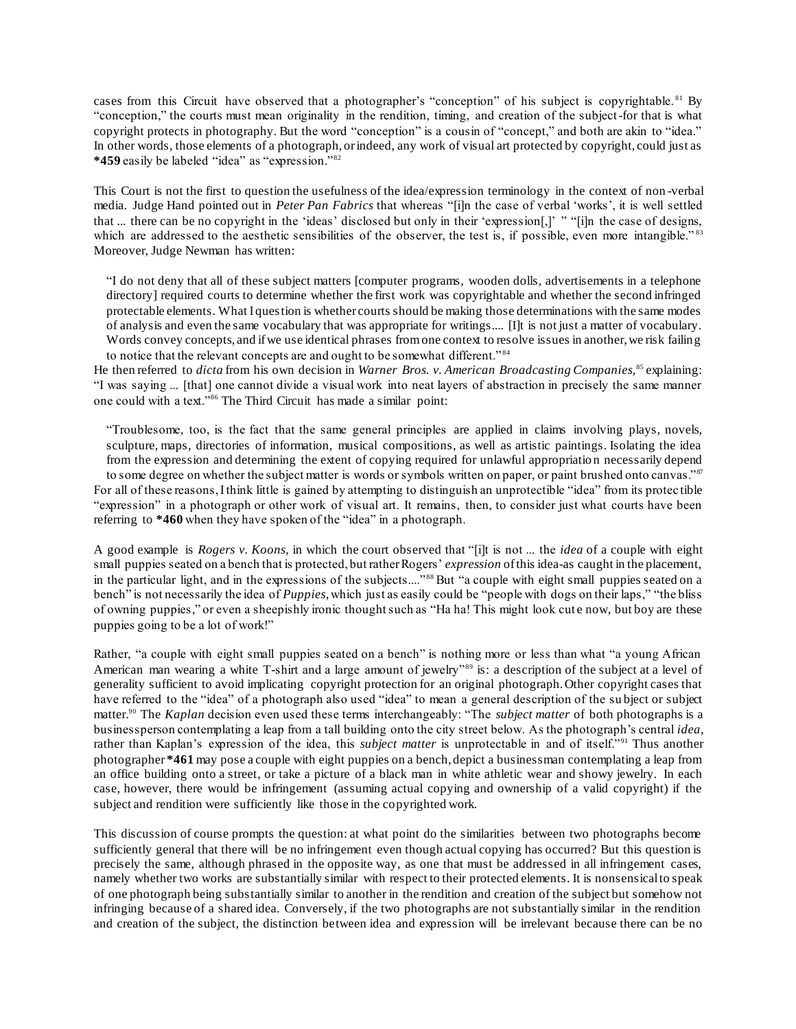cases from this Circuit have observed that a photographer's "conception" of his subject is copyrightable. <sup>81</sup> By "conception," the courts must mean originality in the rendition, timing, and creation of the subject-for that is what copyright protects in photography. But the word "conception" is a cousin of "concept," and both are akin to "idea." In other words, those elements of a photograph, or indeed, any work of visual art protected by copyright, could just as **\*459** easily be labeled "idea" as "expression."<sup>82</sup>

This Court is not the first to question the usefulness of the idea/expression terminology in the context of non -verbal media. Judge Hand pointed out in *Peter Pan Fabrics* that whereas "[i]n the case of verbal 'works', it is well settled that ... there can be no copyright in the 'ideas' disclosed but only in their 'expression[,]' " "[i]n the case of designs, which are addressed to the aesthetic sensibilities of the observer, the test is, if possible, even more intangible."<sup>83</sup> Moreover, Judge Newman has written:

"I do not deny that all of these subject matters [computer programs, wooden dolls, advertisements in a telephone directory] required courts to determine whether the first work was copyrightable and whether the second infringed protectable elements. What I question is whether courts should be making those determinations with the same modes of analysis and even the same vocabulary that was appropriate for writings.... [I]t is not just a matter of vocabulary. Words convey concepts, and if we use identical phrases from one context to resolve issues in another, we risk failing to notice that the relevant concepts are and ought to be somewhat different."<sup>84</sup>

He then referred to *dicta* from his own decision in *Warner Bros. v. American Broadcasting Companies,*<sup>85</sup> explaining: "I was saying ... [that] one cannot divide a visual work into neat layers of abstraction in precisely the same manner one could with a text."<sup>86</sup> The Third Circuit has made a similar point:

"Troublesome, too, is the fact that the same general principles are applied in claims involving plays, novels, sculpture, maps, directories of information, musical compositions, as well as artistic paintings. Isolating the idea from the expression and determining the extent of copying required for unlawful appropriatio n necessarily depend to some degree on whether the subject matter is words or symbols written on paper, or paint brushed onto canvas."<sup>87</sup> For all of these reasons, I think little is gained by attempting to distinguish an unprotectible "idea" from its protec tible "expression" in a photograph or other work of visual art. It remains, then, to consider just what courts have been referring to **\*460** when they have spoken of the "idea" in a photograph.

A good example is *Rogers v. Koons,* in which the court observed that "[i]t is not ... the *idea* of a couple with eight small puppies seated on a bench that is protected, but rather Rogers' *expression* of this idea-as caught in the placement, in the particular light, and in the expressions of the subjects...."<sup>88</sup> But "a couple with eight small puppies seated on a bench" is not necessarily the idea of *Puppies,*which just as easily could be "people with dogs on their laps," "the bliss of owning puppies," or even a sheepishly ironic thought such as "Ha ha! This might look cut e now, but boy are these puppies going to be a lot of work!"

Rather, "a couple with eight small puppies seated on a bench" is nothing more or less than what "a young African American man wearing a white T-shirt and a large amount of jewelry"<sup>89</sup> is: a description of the subject at a level of generality sufficient to avoid implicating copyright protection for an original photograph. Other copyright cases that have referred to the "idea" of a photograph also used "idea" to mean a general description of the subject or subject matter.<sup>90</sup> The *Kaplan* decision even used these terms interchangeably: "The *subject matter* of both photographs is a businessperson contemplating a leap from a tall building onto the city street below. As the photograph's central *idea,* rather than Kaplan's expression of the idea, this *subject matter* is unprotectable in and of itself."<sup>91</sup> Thus another photographer **\*461** may pose a couple with eight puppies on a bench, depict a businessman contemplating a leap from an office building onto a street, or take a picture of a black man in white athletic wear and showy jewelry. In each case, however, there would be infringement (assuming actual copying and ownership of a valid copyright) if the subject and rendition were sufficiently like those in the copyrighted work.

This discussion of course prompts the question: at what point do the similarities between two photographs become sufficiently general that there will be no infringement even though actual copying has occurred? But this question is precisely the same, although phrased in the opposite way, as one that must be addressed in all infringement cases, namely whether two works are substantially similar with respect to their protected elements. It is nonsensical to speak of one photograph being substantially similar to another in the rendition and creation of the subject but somehow not infringing because of a shared idea. Conversely, if the two photographs are not substantially similar in the rendition and creation of the subject, the distinction between idea and expression will be irrelevant because there can be no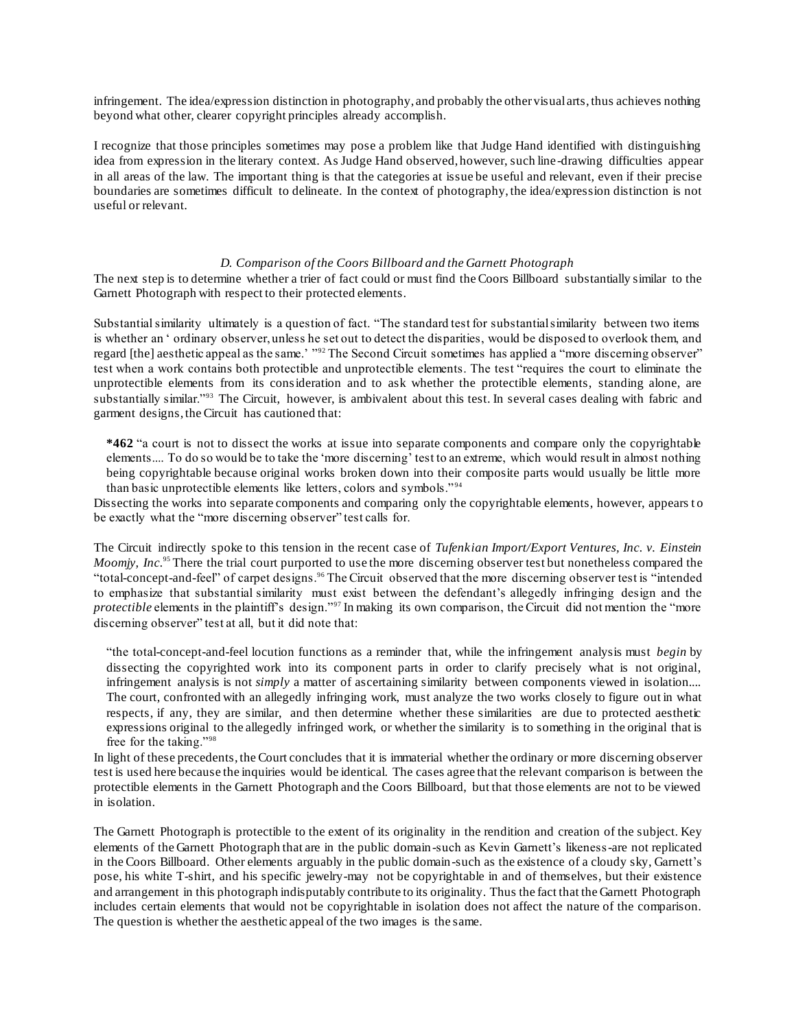infringement. The idea/expression distinction in photography, and probably the other visual arts, thus achieves nothing beyond what other, clearer copyright principles already accomplish.

I recognize that those principles sometimes may pose a problem like that Judge Hand identified with distinguishing idea from expression in the literary context. As Judge Hand observed, however, such line-drawing difficulties appear in all areas of the law. The important thing is that the categories at issue be useful and relevant, even if their precise boundaries are sometimes difficult to delineate. In the context of photography, the idea/expression distinction is not useful or relevant.

## *D. Comparison of the Coors Billboard and the Garnett Photograph*

The next step is to determine whether a trier of fact could or must find the Coors Billboard substantially similar to the Garnett Photograph with respect to their protected elements.

Substantial similarity ultimately is a question of fact. "The standard test for substantial similarity between two items is whether an ' ordinary observer, unless he set out to detect the disparities, would be disposed to overlook them, and regard [the] aesthetic appeal as the same.' "<sup>92</sup> The Second Circuit sometimes has applied a "more discerning observer" test when a work contains both protectible and unprotectible elements. The test "requires the court to eliminate the unprotectible elements from its consideration and to ask whether the protectible elements, standing alone, are substantially similar."93 The Circuit, however, is ambivalent about this test. In several cases dealing with fabric and garment designs, the Circuit has cautioned that:

**\*462** "a court is not to dissect the works at issue into separate components and compare only the copyrightable elements.... To do so would be to take the 'more discerning' test to an extreme, which would result in almost nothing being copyrightable because original works broken down into their composite parts would usually be little more than basic unprotectible elements like letters, colors and symbols."<sup>94</sup>

Dissecting the works into separate components and comparing only the copyrightable elements, however, appears to be exactly what the "more discerning observer" test calls for.

The Circuit indirectly spoke to this tension in the recent case of *Tufenkian Import/Export Ventures, Inc. v. Einstein Moomjy, Inc.*<sup>95</sup> There the trial court purported to use the more discerning observer test but nonetheless compared the "total-concept-and-feel" of carpet designs.<sup>96</sup> The Circuit observed that the more discerning observer test is "intended to emphasize that substantial similarity must exist between the defendant's allegedly infringing design and the *protectible* elements in the plaintiff's design."<sup>97</sup> In making its own comparison, the Circuit did not mention the "more discerning observer" test at all, but it did note that:

"the total-concept-and-feel locution functions as a reminder that, while the infringement analysis must *begin* by dissecting the copyrighted work into its component parts in order to clarify precisely what is not original, infringement analysis is not *simply* a matter of ascertaining similarity between components viewed in isolation.... The court, confronted with an allegedly infringing work, must analyze the two works closely to figure out in what respects, if any, they are similar, and then determine whether these similarities are due to protected aesthetic expressions original to the allegedly infringed work, or whether the similarity is to something in the original that is free for the taking."<sup>98</sup>

In light of these precedents, the Court concludes that it is immaterial whether the ordinary or more discerning observer test is used here because the inquiries would be identical. The cases agree that the relevant comparison is between the protectible elements in the Garnett Photograph and the Coors Billboard, but that those elements are not to be viewed in isolation.

The Garnett Photograph is protectible to the extent of its originality in the rendition and creation of the subject. Key elements of the Garnett Photograph that are in the public domain-such as Kevin Garnett's likeness-are not replicated in the Coors Billboard. Other elements arguably in the public domain-such as the existence of a cloudy sky, Garnett's pose, his white T-shirt, and his specific jewelry-may not be copyrightable in and of themselves, but their existence and arrangement in this photograph indisputably contribute to its originality. Thus the fact that the Garnett Photograph includes certain elements that would not be copyrightable in isolation does not affect the nature of the comparison. The question is whether the aesthetic appeal of the two images is the same.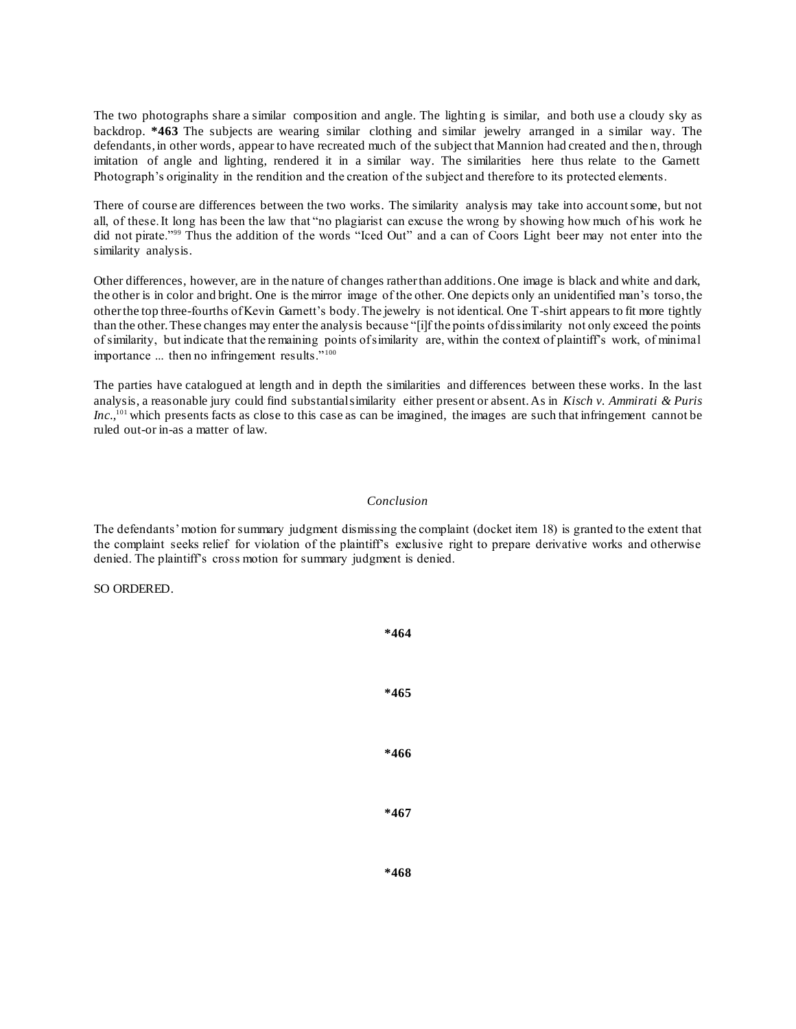The two photographs share a similar composition and angle. The lighting is similar, and both use a cloudy sky as backdrop. **\*463** The subjects are wearing similar clothing and similar jewelry arranged in a similar way. The defendants, in other words, appear to have recreated much of the subject that Mannion had created and the n, through imitation of angle and lighting, rendered it in a similar way. The similarities here thus relate to the Garnett Photograph's originality in the rendition and the creation of the subject and therefore to its protected elements.

There of course are differences between the two works. The similarity analysis may take into account some, but not all, of these. It long has been the law that "no plagiarist can excuse the wrong by showing how much of his work he did not pirate."<sup>99</sup> Thus the addition of the words "Iced Out" and a can of Coors Light beer may not enter into the similarity analysis.

Other differences, however, are in the nature of changes rather than additions. One image is black and white and dark, the other is in color and bright. One is the mirror image of the other. One depicts only an unidentified man's torso, the other the top three-fourths of Kevin Garnett's body. The jewelry is not identical. One T-shirt appears to fit more tightly than the other. These changes may enter the analysis because "[i]f the points of dissimilarity not only exceed the points of similarity, but indicate that the remaining points of similarity are, within the context of plaintiff's work, of minimal importance ... then no infringement results."<sup>100</sup>

The parties have catalogued at length and in depth the similarities and differences between these works. In the last analysis, a reasonable jury could find substantial similarity either present or absent. As in *Kisch v. Ammirati & Puris Inc.*,<sup>101</sup> which presents facts as close to this case as can be imagined, the images are such that infringement cannot be ruled out-or in-as a matter of law.

#### *Conclusion*

The defendants' motion for summary judgment dismissing the complaint (docket item 18) is granted to the extent that the complaint seeks relief for violation of the plaintiff's exclusive right to prepare derivative works and otherwise denied. The plaintiff's cross motion for summary judgment is denied.

SO ORDERED.

**\*465**

**\*464**

**\*466**

**\*467**

**\*468**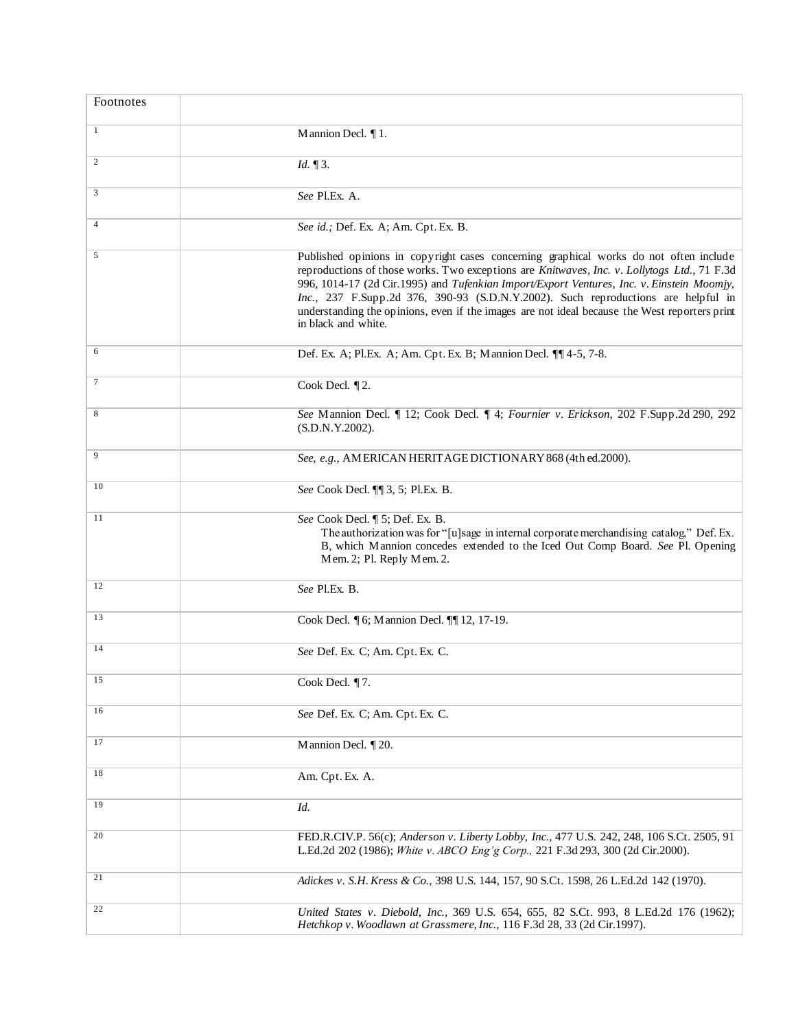| Footnotes |                                                                                                                                                                                                                                                                                                                                                                                                                                                                                                |
|-----------|------------------------------------------------------------------------------------------------------------------------------------------------------------------------------------------------------------------------------------------------------------------------------------------------------------------------------------------------------------------------------------------------------------------------------------------------------------------------------------------------|
| 1         | M annion Decl. $\P$ 1.                                                                                                                                                                                                                                                                                                                                                                                                                                                                         |
| 2         | $Id. \P 3.$                                                                                                                                                                                                                                                                                                                                                                                                                                                                                    |
| 3         | See Pl.Ex. A.                                                                                                                                                                                                                                                                                                                                                                                                                                                                                  |
| 4         | See id.; Def. Ex. A; Am. Cpt. Ex. B.                                                                                                                                                                                                                                                                                                                                                                                                                                                           |
| 5         | Published opinions in copyright cases concerning graphical works do not often include<br>reproductions of those works. Two exceptions are Knitwaves, Inc. v. Lollytogs Ltd., 71 F.3d<br>996, 1014-17 (2d Cir.1995) and Tufenkian Import/Export Ventures, Inc. v. Einstein Moomjy,<br>Inc., 237 F.Supp.2d 376, 390-93 (S.D.N.Y.2002). Such reproductions are helpful in<br>understanding the opinions, even if the images are not ideal because the West reporters print<br>in black and white. |
| 6         | Def. Ex. A; Pl. Ex. A; Am. Cpt. Ex. B; Mannion Decl. 114-5, 7-8.                                                                                                                                                                                                                                                                                                                                                                                                                               |
| $\tau$    | Cook Decl. ¶ 2.                                                                                                                                                                                                                                                                                                                                                                                                                                                                                |
| 8         | See Mannion Decl. ¶ 12; Cook Decl. ¶ 4; Fournier v. Erickson, 202 F.Supp.2d 290, 292<br>(S.D.N.Y.2002).                                                                                                                                                                                                                                                                                                                                                                                        |
| 9         | See, e.g., AMERICAN HERITAGE DICTIONARY 868 (4th ed.2000).                                                                                                                                                                                                                                                                                                                                                                                                                                     |
| 10        | See Cook Decl. ¶ 3, 5; Pl.Ex. B.                                                                                                                                                                                                                                                                                                                                                                                                                                                               |
| 11        | See Cook Decl. ¶ 5; Def. Ex. B.<br>The authorization was for "[u]sage in internal corporate merchandising catalog," Def. Ex.<br>B, which Mannion concedes extended to the Iced Out Comp Board. See Pl. Opening<br>Mem. 2; Pl. Reply Mem. 2.                                                                                                                                                                                                                                                    |
| 12        | See Pl.Ex. B.                                                                                                                                                                                                                                                                                                                                                                                                                                                                                  |
| 13        | Cook Decl. ¶ 6; Mannion Decl. ¶ [12, 17-19.                                                                                                                                                                                                                                                                                                                                                                                                                                                    |
| 14        | See Def. Ex. C; Am. Cpt. Ex. C.                                                                                                                                                                                                                                                                                                                                                                                                                                                                |
| 15        | Cook Decl. $\P$ 7.                                                                                                                                                                                                                                                                                                                                                                                                                                                                             |
| 16        | See Def. Ex. C; Am. Cpt. Ex. C.                                                                                                                                                                                                                                                                                                                                                                                                                                                                |
| 17        | Mannion Decl. 120.                                                                                                                                                                                                                                                                                                                                                                                                                                                                             |
| 18        | Am. Cpt. Ex. A.                                                                                                                                                                                                                                                                                                                                                                                                                                                                                |
| 19        | Id.                                                                                                                                                                                                                                                                                                                                                                                                                                                                                            |
| 20        | FED.R.CIV.P. 56(c); Anderson v. Liberty Lobby, Inc., 477 U.S. 242, 248, 106 S.Ct. 2505, 91<br>L.Ed.2d 202 (1986); White v. ABCO Eng'g Corp., 221 F.3d 293, 300 (2d Cir.2000).                                                                                                                                                                                                                                                                                                                  |
| 21        | Adickes v. S.H. Kress & Co., 398 U.S. 144, 157, 90 S.Ct. 1598, 26 L.Ed.2d 142 (1970).                                                                                                                                                                                                                                                                                                                                                                                                          |
| 22        | United States v. Diebold, Inc., 369 U.S. 654, 655, 82 S.Ct. 993, 8 L.Ed.2d 176 (1962);<br>Hetchkop v. Woodlawn at Grassmere, Inc., 116 F.3d 28, 33 (2d Cir.1997).                                                                                                                                                                                                                                                                                                                              |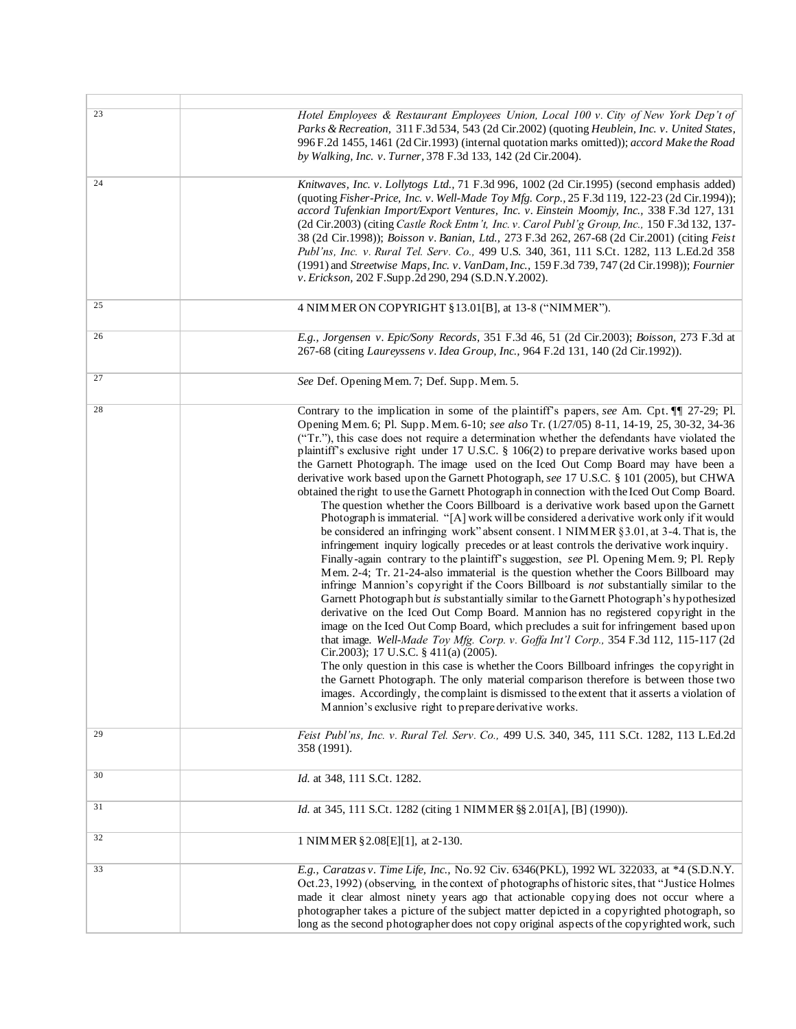| 23 | Hotel Employees & Restaurant Employees Union, Local 100 v. City of New York Dep't of<br>Parks & Recreation, 311 F.3d 534, 543 (2d Cir.2002) (quoting Heublein, Inc. v. United States,<br>996 F.2d 1455, 1461 (2d Cir.1993) (internal quotation marks omitted)); accord Make the Road<br>by Walking, Inc. v. Turner, 378 F.3d 133, 142 (2d Cir.2004).                                                                                                                                                                                                                                                                                                                                                                                                                                                                                                                                                                                                                                                                                                                                                                                                                                                                                                                                                                                                                                                                                                                                                                                                                                                                                                                                                                                                                                                                                                                                                                                                                                                                                                                                       |
|----|--------------------------------------------------------------------------------------------------------------------------------------------------------------------------------------------------------------------------------------------------------------------------------------------------------------------------------------------------------------------------------------------------------------------------------------------------------------------------------------------------------------------------------------------------------------------------------------------------------------------------------------------------------------------------------------------------------------------------------------------------------------------------------------------------------------------------------------------------------------------------------------------------------------------------------------------------------------------------------------------------------------------------------------------------------------------------------------------------------------------------------------------------------------------------------------------------------------------------------------------------------------------------------------------------------------------------------------------------------------------------------------------------------------------------------------------------------------------------------------------------------------------------------------------------------------------------------------------------------------------------------------------------------------------------------------------------------------------------------------------------------------------------------------------------------------------------------------------------------------------------------------------------------------------------------------------------------------------------------------------------------------------------------------------------------------------------------------------|
| 24 | Knitwaves, Inc. v. Lollytogs Ltd., 71 F.3d 996, 1002 (2d Cir.1995) (second emphasis added)<br>(quoting Fisher-Price, Inc. v. Well-Made Toy Mfg. Corp., 25 F.3d 119, 122-23 (2d Cir.1994));<br>accord Tufenkian Import/Export Ventures, Inc. v. Einstein Moomjy, Inc., 338 F.3d 127, 131<br>(2d Cir.2003) (citing Castle Rock Entm't, Inc. v. Carol Publ'g Group, Inc., 150 F.3d 132, 137-<br>38 (2d Cir.1998)); Boisson v. Banian, Ltd., 273 F.3d 262, 267-68 (2d Cir.2001) (citing Feist<br>Publ'ns, Inc. v. Rural Tel. Serv. Co., 499 U.S. 340, 361, 111 S.Ct. 1282, 113 L.Ed.2d 358<br>(1991) and Streetwise Maps, Inc. v. VanDam, Inc., 159 F.3d 739, 747 (2d Cir.1998)); Fournier<br>v. Erickson, 202 F.Supp.2d 290, 294 (S.D.N.Y.2002).                                                                                                                                                                                                                                                                                                                                                                                                                                                                                                                                                                                                                                                                                                                                                                                                                                                                                                                                                                                                                                                                                                                                                                                                                                                                                                                                              |
| 25 | 4 NIMMER ON COPYRIGHT § 13.01[B], at 13-8 ("NIMMER").                                                                                                                                                                                                                                                                                                                                                                                                                                                                                                                                                                                                                                                                                                                                                                                                                                                                                                                                                                                                                                                                                                                                                                                                                                                                                                                                                                                                                                                                                                                                                                                                                                                                                                                                                                                                                                                                                                                                                                                                                                      |
| 26 | E.g., Jorgensen v. Epic/Sony Records, 351 F.3d 46, 51 (2d Cir.2003); Boisson, 273 F.3d at<br>267-68 (citing Laureyssens v. Idea Group, Inc., 964 F.2d 131, 140 (2d Cir.1992)).                                                                                                                                                                                                                                                                                                                                                                                                                                                                                                                                                                                                                                                                                                                                                                                                                                                                                                                                                                                                                                                                                                                                                                                                                                                                                                                                                                                                                                                                                                                                                                                                                                                                                                                                                                                                                                                                                                             |
| 27 | See Def. Opening Mem. 7; Def. Supp. Mem. 5.                                                                                                                                                                                                                                                                                                                                                                                                                                                                                                                                                                                                                                                                                                                                                                                                                                                                                                                                                                                                                                                                                                                                                                                                                                                                                                                                                                                                                                                                                                                                                                                                                                                                                                                                                                                                                                                                                                                                                                                                                                                |
| 28 | Contrary to the implication in some of the plaintiff's papers, see Am. Cpt. 11 27-29; Pl.<br>Opening Mem. 6; Pl. Supp. Mem. 6-10; see also Tr. (1/27/05) 8-11, 14-19, 25, 30-32, 34-36<br>("Tr."), this case does not require a determination whether the defendants have violated the<br>plaintiff's exclusive right under 17 U.S.C. § 106(2) to prepare derivative works based upon<br>the Garnett Photograph. The image used on the Iced Out Comp Board may have been a<br>derivative work based upon the Garnett Photograph, see 17 U.S.C. § 101 (2005), but CHWA<br>obtained the right to use the Garnett Photograph in connection with the Iced Out Comp Board.<br>The question whether the Coors Billboard is a derivative work based upon the Garnett<br>Photograph is immaterial. "[A] work will be considered a derivative work only if it would<br>be considered an infringing work" absent consent. 1 NIMMER § 3.01, at 3-4. That is, the<br>infringement inquiry logically precedes or at least controls the derivative work inquiry.<br>Finally-again contrary to the plaintiff's suggestion, see Pl. Opening Mem. 9; Pl. Reply<br>Mem. 2-4; Tr. 21-24-also immaterial is the question whether the Coors Billboard may<br>infringe Mannion's copyright if the Coors Billboard is not substantially similar to the<br>Garnett Photograph but is substantially similar to the Garnett Photograph's hypothesized<br>derivative on the Iced Out Comp Board. Mannion has no registered copyright in the<br>image on the Iced Out Comp Board, which precludes a suit for infringement based upon<br>that image. Well-Made Toy Mfg. Corp. v. Goffa Int'l Corp., 354 F.3d 112, 115-117 (2d)<br>Cir.2003); 17 U.S.C. $\S$ 411(a) (2005).<br>The only question in this case is whether the Coors Billboard infringes the copyright in<br>the Garnett Photograph. The only material comparison therefore is between those two<br>images. Accordingly, the complaint is dismissed to the extent that it asserts a violation of<br>Mannion's exclusive right to prepare derivative works. |
| 29 | Feist Publ'ns, Inc. v. Rural Tel. Serv. Co., 499 U.S. 340, 345, 111 S.Ct. 1282, 113 L.Ed.2d<br>358 (1991).                                                                                                                                                                                                                                                                                                                                                                                                                                                                                                                                                                                                                                                                                                                                                                                                                                                                                                                                                                                                                                                                                                                                                                                                                                                                                                                                                                                                                                                                                                                                                                                                                                                                                                                                                                                                                                                                                                                                                                                 |
| 30 | Id. at 348, 111 S.Ct. 1282.                                                                                                                                                                                                                                                                                                                                                                                                                                                                                                                                                                                                                                                                                                                                                                                                                                                                                                                                                                                                                                                                                                                                                                                                                                                                                                                                                                                                                                                                                                                                                                                                                                                                                                                                                                                                                                                                                                                                                                                                                                                                |
| 31 | <i>Id.</i> at 345, 111 S.Ct. 1282 (citing 1 NIMMER §§ 2.01[A], [B] (1990)).                                                                                                                                                                                                                                                                                                                                                                                                                                                                                                                                                                                                                                                                                                                                                                                                                                                                                                                                                                                                                                                                                                                                                                                                                                                                                                                                                                                                                                                                                                                                                                                                                                                                                                                                                                                                                                                                                                                                                                                                                |
| 32 | 1 NIMMER § 2.08[E][1], at 2-130.                                                                                                                                                                                                                                                                                                                                                                                                                                                                                                                                                                                                                                                                                                                                                                                                                                                                                                                                                                                                                                                                                                                                                                                                                                                                                                                                                                                                                                                                                                                                                                                                                                                                                                                                                                                                                                                                                                                                                                                                                                                           |
| 33 | E.g., Caratzas v. Time Life, Inc., No. 92 Civ. 6346(PKL), 1992 WL 322033, at *4 (S.D.N.Y.<br>Oct.23, 1992) (observing, in the context of photographs of historic sites, that "Justice Holmes"<br>made it clear almost ninety years ago that actionable copying does not occur where a<br>photographer takes a picture of the subject matter depicted in a copyrighted photograph, so<br>long as the second photographer does not copy original aspects of the copyrighted work, such                                                                                                                                                                                                                                                                                                                                                                                                                                                                                                                                                                                                                                                                                                                                                                                                                                                                                                                                                                                                                                                                                                                                                                                                                                                                                                                                                                                                                                                                                                                                                                                                       |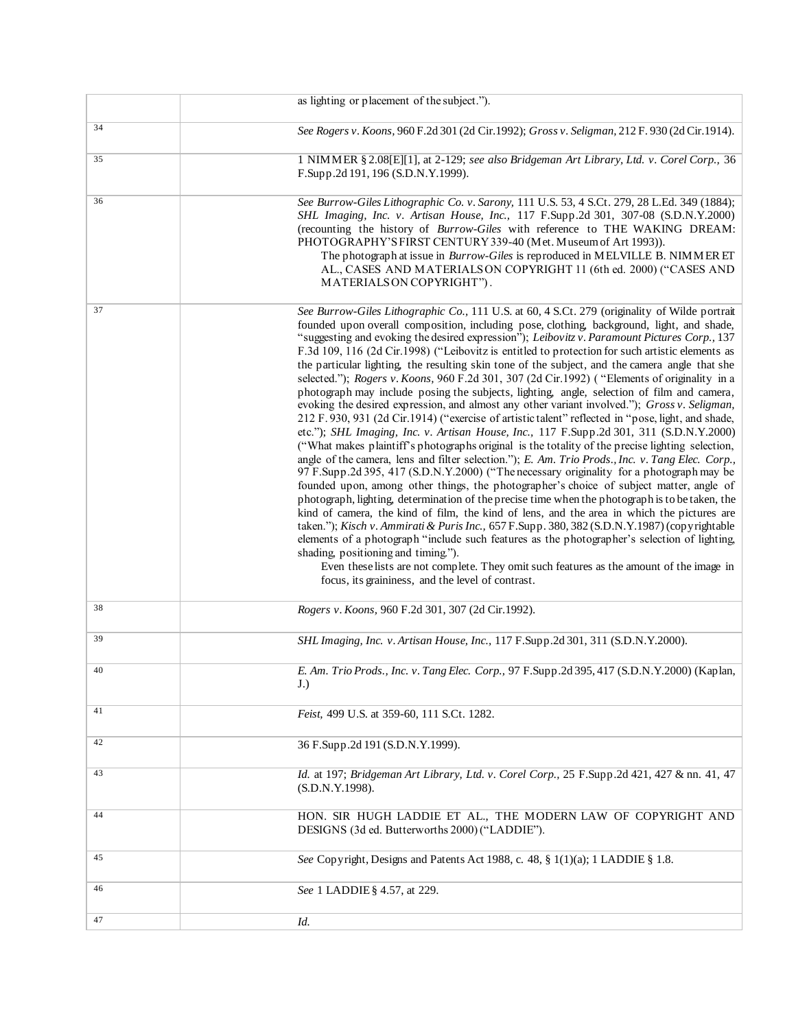|    | as lighting or placement of the subject.").                                                                                                                                                                                                                                                                                                                                                                                                                                                                                                                                                                                                                                                                                                                                                                                                                                                                                                                                                                                                                                                                                                                                                                                                                                                                                                                                                                                                                                                                                                                                                                                                                                                                                                                                                                                                                                                                                                                                                    |
|----|------------------------------------------------------------------------------------------------------------------------------------------------------------------------------------------------------------------------------------------------------------------------------------------------------------------------------------------------------------------------------------------------------------------------------------------------------------------------------------------------------------------------------------------------------------------------------------------------------------------------------------------------------------------------------------------------------------------------------------------------------------------------------------------------------------------------------------------------------------------------------------------------------------------------------------------------------------------------------------------------------------------------------------------------------------------------------------------------------------------------------------------------------------------------------------------------------------------------------------------------------------------------------------------------------------------------------------------------------------------------------------------------------------------------------------------------------------------------------------------------------------------------------------------------------------------------------------------------------------------------------------------------------------------------------------------------------------------------------------------------------------------------------------------------------------------------------------------------------------------------------------------------------------------------------------------------------------------------------------------------|
| 34 | See Rogers v. Koons, 960 F.2d 301 (2d Cir.1992); Gross v. Seligman, 212 F. 930 (2d Cir.1914).                                                                                                                                                                                                                                                                                                                                                                                                                                                                                                                                                                                                                                                                                                                                                                                                                                                                                                                                                                                                                                                                                                                                                                                                                                                                                                                                                                                                                                                                                                                                                                                                                                                                                                                                                                                                                                                                                                  |
| 35 | 1 NIMMER § 2.08[E][1], at 2-129; see also Bridgeman Art Library, Ltd. v. Corel Corp., 36<br>F.Supp.2d 191, 196 (S.D.N.Y.1999).                                                                                                                                                                                                                                                                                                                                                                                                                                                                                                                                                                                                                                                                                                                                                                                                                                                                                                                                                                                                                                                                                                                                                                                                                                                                                                                                                                                                                                                                                                                                                                                                                                                                                                                                                                                                                                                                 |
| 36 | See Burrow-Giles Lithographic Co. v. Sarony, 111 U.S. 53, 4 S.Ct. 279, 28 L.Ed. 349 (1884);<br>SHL Imaging, Inc. v. Artisan House, Inc., 117 F.Supp.2d 301, 307-08 (S.D.N.Y.2000)<br>(recounting the history of Burrow-Giles with reference to THE WAKING DREAM:<br>PHOTOGRAPHY'S FIRST CENTURY 339-40 (Met. Museum of Art 1993)).<br>The photograph at issue in Burrow-Giles is reproduced in MELVILLE B. NIMMER ET<br>AL., CASES AND MATERIALSON COPYRIGHT 11 (6th ed. 2000) ("CASES AND<br>MATERIALSON COPYRIGHT").                                                                                                                                                                                                                                                                                                                                                                                                                                                                                                                                                                                                                                                                                                                                                                                                                                                                                                                                                                                                                                                                                                                                                                                                                                                                                                                                                                                                                                                                         |
| 37 | See Burrow-Giles Lithographic Co., 111 U.S. at 60, 4 S.Ct. 279 (originality of Wilde portrait<br>founded upon overall composition, including pose, clothing, background, light, and shade,<br>"suggesting and evoking the desired expression"); Leibovitz v. Paramount Pictures Corp., 137<br>F.3d 109, 116 (2d Cir.1998) ("Leibovitz is entitled to protection for such artistic elements as<br>the particular lighting, the resulting skin tone of the subject, and the camera angle that she<br>selected."); <i>Rogers v. Koons</i> , 960 F.2d 301, 307 (2d Cir.1992) ("Elements of originality in a<br>photograph may include posing the subjects, lighting, angle, selection of film and camera,<br>evoking the desired expression, and almost any other variant involved."); Gross v. Seligman,<br>212 F. 930, 931 (2d Cir.1914) ("exercise of artistic talent" reflected in "pose, light, and shade,<br>etc."); SHL Imaging, Inc. v. Artisan House, Inc., 117 F.Supp.2d 301, 311 (S.D.N.Y.2000)<br>("What makes plaintiff's photographs original is the totality of the precise lighting selection,<br>angle of the camera, lens and filter selection."); E. Am. Trio Prods., Inc. v. Tang Elec. Corp.,<br>97 F.Supp.2d 395, 417 (S.D.N.Y.2000) ("The necessary originality for a photograph may be<br>founded upon, among other things, the photographer's choice of subject matter, angle of<br>photograph, lighting, determination of the precise time when the photograph is to be taken, the<br>kind of camera, the kind of film, the kind of lens, and the area in which the pictures are<br>taken."); Kisch v. Ammirati & Puris Inc., 657 F.Supp. 380, 382 (S.D.N.Y.1987) (copyrightable<br>elements of a photograph "include such features as the photographer's selection of lighting,<br>shading, positioning and timing.").<br>Even these lists are not complete. They omit such features as the amount of the image in<br>focus, its graininess, and the level of contrast. |
| 38 | Rogers v. Koons, 960 F.2d 301, 307 (2d Cir.1992).                                                                                                                                                                                                                                                                                                                                                                                                                                                                                                                                                                                                                                                                                                                                                                                                                                                                                                                                                                                                                                                                                                                                                                                                                                                                                                                                                                                                                                                                                                                                                                                                                                                                                                                                                                                                                                                                                                                                              |
| 39 | SHL Imaging, Inc. v. Artisan House, Inc., 117 F.Supp.2d 301, 311 (S.D.N.Y.2000).                                                                                                                                                                                                                                                                                                                                                                                                                                                                                                                                                                                                                                                                                                                                                                                                                                                                                                                                                                                                                                                                                                                                                                                                                                                                                                                                                                                                                                                                                                                                                                                                                                                                                                                                                                                                                                                                                                               |
| 40 | E. Am. Trio Prods., Inc. v. Tang Elec. Corp., 97 F.Supp.2d 395, 417 (S.D.N.Y.2000) (Kaplan,<br>$J.$ )                                                                                                                                                                                                                                                                                                                                                                                                                                                                                                                                                                                                                                                                                                                                                                                                                                                                                                                                                                                                                                                                                                                                                                                                                                                                                                                                                                                                                                                                                                                                                                                                                                                                                                                                                                                                                                                                                          |
| 41 | Feist, 499 U.S. at 359-60, 111 S.Ct. 1282.                                                                                                                                                                                                                                                                                                                                                                                                                                                                                                                                                                                                                                                                                                                                                                                                                                                                                                                                                                                                                                                                                                                                                                                                                                                                                                                                                                                                                                                                                                                                                                                                                                                                                                                                                                                                                                                                                                                                                     |
| 42 | 36 F.Supp.2d 191 (S.D.N.Y.1999).                                                                                                                                                                                                                                                                                                                                                                                                                                                                                                                                                                                                                                                                                                                                                                                                                                                                                                                                                                                                                                                                                                                                                                                                                                                                                                                                                                                                                                                                                                                                                                                                                                                                                                                                                                                                                                                                                                                                                               |
| 43 | Id. at 197; Bridgeman Art Library, Ltd. v. Corel Corp., 25 F.Supp.2d 421, 427 & nn. 41, 47<br>(S.D.N.Y.1998).                                                                                                                                                                                                                                                                                                                                                                                                                                                                                                                                                                                                                                                                                                                                                                                                                                                                                                                                                                                                                                                                                                                                                                                                                                                                                                                                                                                                                                                                                                                                                                                                                                                                                                                                                                                                                                                                                  |
| 44 | HON. SIR HUGH LADDIE ET AL., THE MODERN LAW OF COPYRIGHT AND<br>DESIGNS (3d ed. Butterworths 2000) ("LADDIE").                                                                                                                                                                                                                                                                                                                                                                                                                                                                                                                                                                                                                                                                                                                                                                                                                                                                                                                                                                                                                                                                                                                                                                                                                                                                                                                                                                                                                                                                                                                                                                                                                                                                                                                                                                                                                                                                                 |
| 45 | See Copyright, Designs and Patents Act 1988, c. 48, § 1(1)(a); 1 LADDIE § 1.8.                                                                                                                                                                                                                                                                                                                                                                                                                                                                                                                                                                                                                                                                                                                                                                                                                                                                                                                                                                                                                                                                                                                                                                                                                                                                                                                                                                                                                                                                                                                                                                                                                                                                                                                                                                                                                                                                                                                 |
| 46 | See 1 LADDIE § 4.57, at 229.                                                                                                                                                                                                                                                                                                                                                                                                                                                                                                                                                                                                                                                                                                                                                                                                                                                                                                                                                                                                                                                                                                                                                                                                                                                                                                                                                                                                                                                                                                                                                                                                                                                                                                                                                                                                                                                                                                                                                                   |
| 47 | Id.                                                                                                                                                                                                                                                                                                                                                                                                                                                                                                                                                                                                                                                                                                                                                                                                                                                                                                                                                                                                                                                                                                                                                                                                                                                                                                                                                                                                                                                                                                                                                                                                                                                                                                                                                                                                                                                                                                                                                                                            |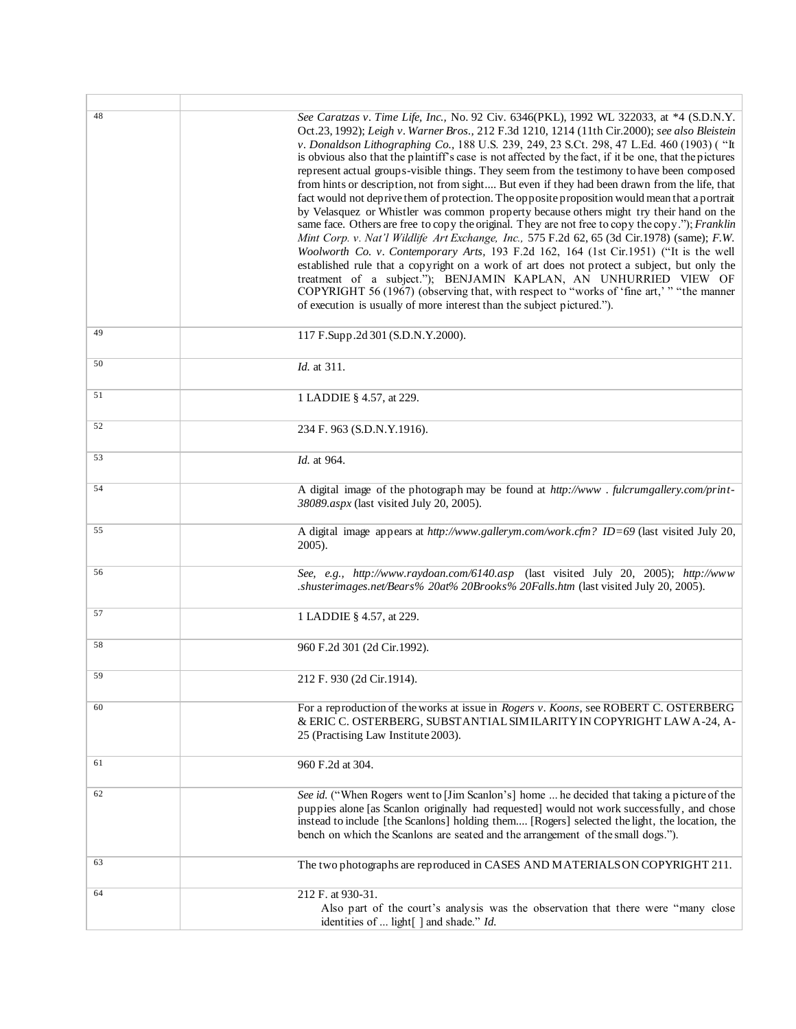| 48 | See Caratzas v. Time Life, Inc., No. 92 Civ. 6346(PKL), 1992 WL 322033, at *4 (S.D.N.Y.<br>Oct.23, 1992); Leigh v. Warner Bros., 212 F.3d 1210, 1214 (11th Cir.2000); see also Bleistein<br>v. Donaldson Lithographing Co., 188 U.S. 239, 249, 23 S.Ct. 298, 47 L.Ed. 460 (1903) ("It<br>is obvious also that the plaintiff's case is not affected by the fact, if it be one, that the pictures<br>represent actual groups-visible things. They seem from the testimony to have been composed<br>from hints or description, not from sight But even if they had been drawn from the life, that<br>fact would not deprive them of protection. The opposite proposition would mean that a portrait<br>by Velasquez or Whistler was common property because others might try their hand on the<br>same face. Others are free to copy the original. They are not free to copy the copy."); Franklin<br>Mint Corp. v. Nat'l Wildlife Art Exchange, Inc., 575 F.2d 62, 65 (3d Cir.1978) (same); F.W.<br>Woolworth Co. v. Contemporary Arts, 193 F.2d 162, 164 (1st Cir.1951) ("It is the well<br>established rule that a copyright on a work of art does not protect a subject, but only the<br>treatment of a subject."); BENJAMIN KAPLAN, AN UNHURRIED VIEW OF<br>COPYRIGHT 56 (1967) (observing that, with respect to "works of 'fine art,' " "the manner<br>of execution is usually of more interest than the subject pictured."). |
|----|----------------------------------------------------------------------------------------------------------------------------------------------------------------------------------------------------------------------------------------------------------------------------------------------------------------------------------------------------------------------------------------------------------------------------------------------------------------------------------------------------------------------------------------------------------------------------------------------------------------------------------------------------------------------------------------------------------------------------------------------------------------------------------------------------------------------------------------------------------------------------------------------------------------------------------------------------------------------------------------------------------------------------------------------------------------------------------------------------------------------------------------------------------------------------------------------------------------------------------------------------------------------------------------------------------------------------------------------------------------------------------------------------------------------------------|
| 49 | 117 F.Supp.2d 301 (S.D.N.Y.2000).                                                                                                                                                                                                                                                                                                                                                                                                                                                                                                                                                                                                                                                                                                                                                                                                                                                                                                                                                                                                                                                                                                                                                                                                                                                                                                                                                                                                |
| 50 | <i>Id.</i> at 311.                                                                                                                                                                                                                                                                                                                                                                                                                                                                                                                                                                                                                                                                                                                                                                                                                                                                                                                                                                                                                                                                                                                                                                                                                                                                                                                                                                                                               |
| 51 | 1 LADDIE § 4.57, at 229.                                                                                                                                                                                                                                                                                                                                                                                                                                                                                                                                                                                                                                                                                                                                                                                                                                                                                                                                                                                                                                                                                                                                                                                                                                                                                                                                                                                                         |
| 52 | 234 F. 963 (S.D.N.Y.1916).                                                                                                                                                                                                                                                                                                                                                                                                                                                                                                                                                                                                                                                                                                                                                                                                                                                                                                                                                                                                                                                                                                                                                                                                                                                                                                                                                                                                       |
| 53 | <i>Id.</i> at 964.                                                                                                                                                                                                                                                                                                                                                                                                                                                                                                                                                                                                                                                                                                                                                                                                                                                                                                                                                                                                                                                                                                                                                                                                                                                                                                                                                                                                               |
| 54 | A digital image of the photograph may be found at http://www.fulcrumgallery.com/print-<br>38089.aspx (last visited July 20, 2005).                                                                                                                                                                                                                                                                                                                                                                                                                                                                                                                                                                                                                                                                                                                                                                                                                                                                                                                                                                                                                                                                                                                                                                                                                                                                                               |
| 55 | A digital image appears at http://www.gallerym.com/work.cfm? ID=69 (last visited July 20,<br>2005).                                                                                                                                                                                                                                                                                                                                                                                                                                                                                                                                                                                                                                                                                                                                                                                                                                                                                                                                                                                                                                                                                                                                                                                                                                                                                                                              |
| 56 | See, e.g., http://www.raydoan.com/6140.asp (last visited July 20, 2005); http://www<br>.shusterimages.net/Bears% 20at% 20Brooks% 20Falls.htm (last visited July 20, 2005).                                                                                                                                                                                                                                                                                                                                                                                                                                                                                                                                                                                                                                                                                                                                                                                                                                                                                                                                                                                                                                                                                                                                                                                                                                                       |
| 57 | 1 LADDIE § 4.57, at 229.                                                                                                                                                                                                                                                                                                                                                                                                                                                                                                                                                                                                                                                                                                                                                                                                                                                                                                                                                                                                                                                                                                                                                                                                                                                                                                                                                                                                         |
| 58 | 960 F.2d 301 (2d Cir.1992).                                                                                                                                                                                                                                                                                                                                                                                                                                                                                                                                                                                                                                                                                                                                                                                                                                                                                                                                                                                                                                                                                                                                                                                                                                                                                                                                                                                                      |
| 59 | 212 F. 930 (2d Cir.1914).                                                                                                                                                                                                                                                                                                                                                                                                                                                                                                                                                                                                                                                                                                                                                                                                                                                                                                                                                                                                                                                                                                                                                                                                                                                                                                                                                                                                        |
| 60 | For a reproduction of the works at issue in Rogers v. Koons, see ROBERT C. OSTERBERG<br>& ERIC C. OSTERBERG, SUBSTANTIAL SIMILARITY IN COPYRIGHT LAW A-24, A-<br>25 (Practising Law Institute 2003).                                                                                                                                                                                                                                                                                                                                                                                                                                                                                                                                                                                                                                                                                                                                                                                                                                                                                                                                                                                                                                                                                                                                                                                                                             |
| 61 | 960 F.2d at 304.                                                                                                                                                                                                                                                                                                                                                                                                                                                                                                                                                                                                                                                                                                                                                                                                                                                                                                                                                                                                                                                                                                                                                                                                                                                                                                                                                                                                                 |
| 62 | See id. ("When Rogers went to [Jim Scanlon's] home  he decided that taking a picture of the<br>puppies alone [as Scanlon originally had requested] would not work successfully, and chose<br>instead to include [the Scanlons] holding them [Rogers] selected the light, the location, the<br>bench on which the Scanlons are seated and the arrangement of the small dogs.").                                                                                                                                                                                                                                                                                                                                                                                                                                                                                                                                                                                                                                                                                                                                                                                                                                                                                                                                                                                                                                                   |
| 63 | The two photographs are reproduced in CASES AND MATERIALS ON COPYRIGHT 211.                                                                                                                                                                                                                                                                                                                                                                                                                                                                                                                                                                                                                                                                                                                                                                                                                                                                                                                                                                                                                                                                                                                                                                                                                                                                                                                                                      |
| 64 | 212 F. at 930-31.<br>Also part of the court's analysis was the observation that there were "many close"<br>identities of  light [] and shade." Id.                                                                                                                                                                                                                                                                                                                                                                                                                                                                                                                                                                                                                                                                                                                                                                                                                                                                                                                                                                                                                                                                                                                                                                                                                                                                               |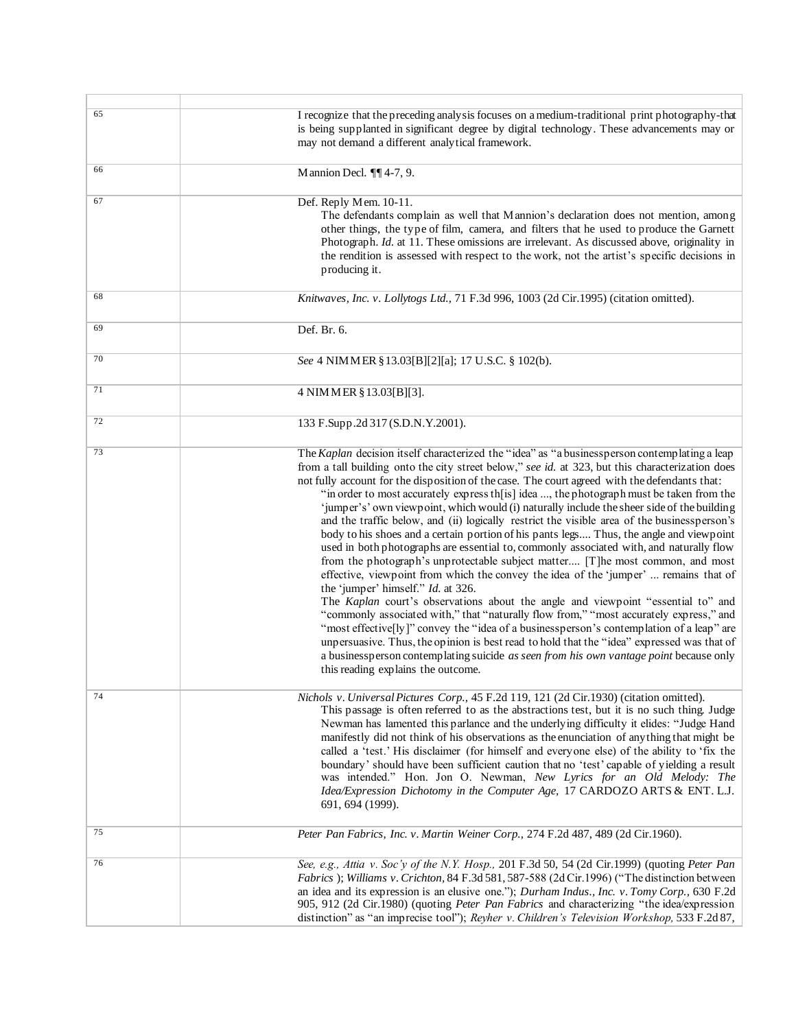| 65 | I recognize that the preceding analysis focuses on a medium-traditional print photography-that<br>is being supplanted in significant degree by digital technology. These advancements may or<br>may not demand a different analytical framework.                                                                                                                                                                                                                                                                                                                                                                                                                                                                                                                                                                                                                                                                                                                                                                                                                                                                                                                                                                                                                                                                                                                                                                                                                                                          |
|----|-----------------------------------------------------------------------------------------------------------------------------------------------------------------------------------------------------------------------------------------------------------------------------------------------------------------------------------------------------------------------------------------------------------------------------------------------------------------------------------------------------------------------------------------------------------------------------------------------------------------------------------------------------------------------------------------------------------------------------------------------------------------------------------------------------------------------------------------------------------------------------------------------------------------------------------------------------------------------------------------------------------------------------------------------------------------------------------------------------------------------------------------------------------------------------------------------------------------------------------------------------------------------------------------------------------------------------------------------------------------------------------------------------------------------------------------------------------------------------------------------------------|
| 66 | M annion Decl. $\P\P$ 4-7, 9.                                                                                                                                                                                                                                                                                                                                                                                                                                                                                                                                                                                                                                                                                                                                                                                                                                                                                                                                                                                                                                                                                                                                                                                                                                                                                                                                                                                                                                                                             |
| 67 | Def. Reply Mem. 10-11.<br>The defendants complain as well that Mannion's declaration does not mention, among<br>other things, the type of film, camera, and filters that he used to produce the Garnett<br>Photograph. Id. at 11. These omissions are irrelevant. As discussed above, originality in<br>the rendition is assessed with respect to the work, not the artist's specific decisions in<br>producing it.                                                                                                                                                                                                                                                                                                                                                                                                                                                                                                                                                                                                                                                                                                                                                                                                                                                                                                                                                                                                                                                                                       |
| 68 | Knitwaves, Inc. v. Lollytogs Ltd., 71 F.3d 996, 1003 (2d Cir.1995) (citation omitted).                                                                                                                                                                                                                                                                                                                                                                                                                                                                                                                                                                                                                                                                                                                                                                                                                                                                                                                                                                                                                                                                                                                                                                                                                                                                                                                                                                                                                    |
| 69 | Def. Br. 6.                                                                                                                                                                                                                                                                                                                                                                                                                                                                                                                                                                                                                                                                                                                                                                                                                                                                                                                                                                                                                                                                                                                                                                                                                                                                                                                                                                                                                                                                                               |
| 70 | See 4 NIMMER § 13.03[B][2][a]; 17 U.S.C. § 102(b).                                                                                                                                                                                                                                                                                                                                                                                                                                                                                                                                                                                                                                                                                                                                                                                                                                                                                                                                                                                                                                                                                                                                                                                                                                                                                                                                                                                                                                                        |
| 71 | 4 NIMMER § 13.03[B][3].                                                                                                                                                                                                                                                                                                                                                                                                                                                                                                                                                                                                                                                                                                                                                                                                                                                                                                                                                                                                                                                                                                                                                                                                                                                                                                                                                                                                                                                                                   |
| 72 | 133 F.Supp.2d 317 (S.D.N.Y.2001).                                                                                                                                                                                                                                                                                                                                                                                                                                                                                                                                                                                                                                                                                                                                                                                                                                                                                                                                                                                                                                                                                                                                                                                                                                                                                                                                                                                                                                                                         |
| 73 | The Kaplan decision itself characterized the "idea" as "a businessperson contemplating a leap<br>from a tall building onto the city street below," see id. at 323, but this characterization does<br>not fully account for the disposition of the case. The court agreed with the defendants that:<br>"in order to most accurately express th[is] idea , the photograph must be taken from the<br>'jumper's' own viewpoint, which would (i) naturally include the sheer side of the building<br>and the traffic below, and (ii) logically restrict the visible area of the businessperson's<br>body to his shoes and a certain portion of his pants legs Thus, the angle and viewpoint<br>used in both photographs are essential to, commonly associated with, and naturally flow<br>from the photograph's unprotectable subject matter [T]he most common, and most<br>effective, viewpoint from which the convey the idea of the 'jumper'  remains that of<br>the 'jumper' himself." Id. at 326.<br>The Kaplan court's observations about the angle and viewpoint "essential to" and<br>"commonly associated with," that "naturally flow from," "most accurately express," and<br>"most effective[ly]" convey the "idea of a businessperson's contemplation of a leap" are<br>unpersuasive. Thus, the opinion is best read to hold that the "idea" expressed was that of<br>a businessperson contemplating suicide as seen from his own vantage point because only<br>this reading explains the outcome. |
| 74 | Nichols v. Universal Pictures Corp., 45 F.2d 119, 121 (2d Cir.1930) (citation omitted).<br>This passage is often referred to as the abstractions test, but it is no such thing. Judge<br>Newman has lamented this parlance and the underlying difficulty it elides: "Judge Hand<br>manifestly did not think of his observations as the enunciation of anything that might be<br>called a 'test.' His disclaimer (for himself and everyone else) of the ability to 'fix the<br>boundary' should have been sufficient caution that no 'test' capable of yielding a result<br>was intended." Hon. Jon O. Newman, New Lyrics for an Old Melody: The<br>Idea/Expression Dichotomy in the Computer Age, 17 CARDOZO ARTS & ENT. L.J.<br>691, 694 (1999).                                                                                                                                                                                                                                                                                                                                                                                                                                                                                                                                                                                                                                                                                                                                                         |
| 75 | Peter Pan Fabrics, Inc. v. Martin Weiner Corp., 274 F.2d 487, 489 (2d Cir.1960).                                                                                                                                                                                                                                                                                                                                                                                                                                                                                                                                                                                                                                                                                                                                                                                                                                                                                                                                                                                                                                                                                                                                                                                                                                                                                                                                                                                                                          |
| 76 | See, e.g., Attia v. Soc'y of the N.Y. Hosp., 201 F.3d 50, 54 (2d Cir.1999) (quoting Peter Pan<br>Fabrics); Williams v. Crichton, 84 F.3d 581, 587-588 (2d Cir.1996) ("The distinction between<br>an idea and its expression is an elusive one."); Durham Indus., Inc. v. Tomy Corp., 630 F.2d<br>905, 912 (2d Cir.1980) (quoting Peter Pan Fabrics and characterizing "the idea/expression<br>distinction" as "an imprecise tool"); Reyher v. Children's Television Workshop, 533 F.2d 87,                                                                                                                                                                                                                                                                                                                                                                                                                                                                                                                                                                                                                                                                                                                                                                                                                                                                                                                                                                                                                |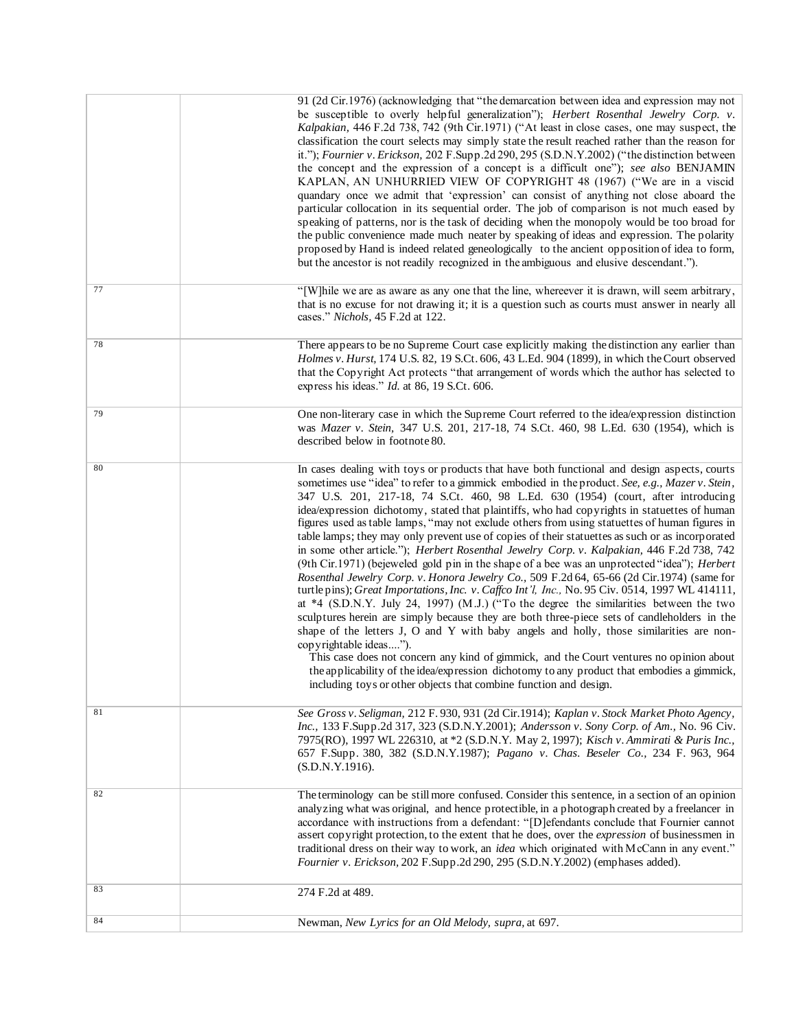|    | 91 (2d Cir.1976) (acknowledging that "the demarcation between idea and expression may not<br>be susceptible to overly helpful generalization"); Herbert Rosenthal Jewelry Corp. v.<br>Kalpakian, 446 F.2d 738, 742 (9th Cir.1971) ("At least in close cases, one may suspect, the<br>classification the court selects may simply state the result reached rather than the reason for<br>it."); Fournier v. Erickson, 202 F.Supp.2d 290, 295 (S.D.N.Y.2002) ("the distinction between<br>the concept and the expression of a concept is a difficult one"); see also BENJAMIN<br>KAPLAN, AN UNHURRIED VIEW OF COPYRIGHT 48 (1967) ("We are in a viscid<br>quandary once we admit that 'expression' can consist of anything not close aboard the<br>particular collocation in its sequential order. The job of comparison is not much eased by<br>speaking of patterns, nor is the task of deciding when the monopoly would be too broad for<br>the public convenience made much neater by speaking of ideas and expression. The polarity<br>proposed by Hand is indeed related geneologically to the ancient opposition of idea to form,<br>but the ancestor is not readily recognized in the ambiguous and elusive descendant.").                                                                                                                                                                                                                                                                                                                                        |
|----|-------------------------------------------------------------------------------------------------------------------------------------------------------------------------------------------------------------------------------------------------------------------------------------------------------------------------------------------------------------------------------------------------------------------------------------------------------------------------------------------------------------------------------------------------------------------------------------------------------------------------------------------------------------------------------------------------------------------------------------------------------------------------------------------------------------------------------------------------------------------------------------------------------------------------------------------------------------------------------------------------------------------------------------------------------------------------------------------------------------------------------------------------------------------------------------------------------------------------------------------------------------------------------------------------------------------------------------------------------------------------------------------------------------------------------------------------------------------------------------------------------------------------------------------------------------------------|
| 77 | "[W] hile we are as aware as any one that the line, whereever it is drawn, will seem arbitrary,<br>that is no excuse for not drawing it; it is a question such as courts must answer in nearly all<br>cases." Nichols, 45 F.2d at 122.                                                                                                                                                                                                                                                                                                                                                                                                                                                                                                                                                                                                                                                                                                                                                                                                                                                                                                                                                                                                                                                                                                                                                                                                                                                                                                                                  |
| 78 | There appears to be no Supreme Court case explicitly making the distinction any earlier than<br>Holmes v. Hurst, 174 U.S. 82, 19 S.Ct. 606, 43 L.Ed. 904 (1899), in which the Court observed<br>that the Copyright Act protects "that arrangement of words which the author has selected to<br>express his ideas." <i>Id.</i> at 86, 19 S.Ct. 606.                                                                                                                                                                                                                                                                                                                                                                                                                                                                                                                                                                                                                                                                                                                                                                                                                                                                                                                                                                                                                                                                                                                                                                                                                      |
| 79 | One non-literary case in which the Supreme Court referred to the idea/expression distinction<br>was Mazer v. Stein, 347 U.S. 201, 217-18, 74 S.Ct. 460, 98 L.Ed. 630 (1954), which is<br>described below in footnote 80.                                                                                                                                                                                                                                                                                                                                                                                                                                                                                                                                                                                                                                                                                                                                                                                                                                                                                                                                                                                                                                                                                                                                                                                                                                                                                                                                                |
| 80 | In cases dealing with toys or products that have both functional and design aspects, courts<br>sometimes use "idea" to refer to a gimmick embodied in the product. See, e.g., Mazer v. Stein,<br>347 U.S. 201, 217-18, 74 S.Ct. 460, 98 L.Ed. 630 (1954) (court, after introducing<br>idea/expression dichotomy, stated that plaintiffs, who had copyrights in statuettes of human<br>figures used as table lamps, "may not exclude others from using statuettes of human figures in<br>table lamps; they may only prevent use of copies of their statuettes as such or as incorporated<br>in some other article."); Herbert Rosenthal Jewelry Corp. v. Kalpakian, 446 F.2d 738, 742<br>(9th Cir.1971) (bejeweled gold pin in the shape of a bee was an unprotected "idea"); <i>Herbert</i><br>Rosenthal Jewelry Corp. v. Honora Jewelry Co., 509 F.2d 64, 65-66 (2d Cir.1974) (same for<br>turtle pins); Great Importations, Inc. v. Caffco Int'l, Inc., No. 95 Civ. 0514, 1997 WL 414111,<br>at *4 (S.D.N.Y. July 24, 1997) (M.J.) ("To the degree the similarities between the two<br>sculptures herein are simply because they are both three-piece sets of candleholders in the<br>shape of the letters J, O and Y with baby angels and holly, those similarities are non-<br>copyrightable ideas").<br>This case does not concern any kind of gimmick, and the Court ventures no opinion about<br>the applicability of the idea/expression dichotomy to any product that embodies a gimmick,<br>including toys or other objects that combine function and design. |
| 81 | See Gross v. Seligman, 212 F. 930, 931 (2d Cir.1914); Kaplan v. Stock Market Photo Agency,<br>Inc., 133 F.Supp.2d 317, 323 (S.D.N.Y.2001); Andersson v. Sony Corp. of Am., No. 96 Civ.<br>7975(RO), 1997 WL 226310, at *2 (S.D.N.Y. May 2, 1997); Kisch v. Ammirati & Puris Inc.,<br>657 F.Supp. 380, 382 (S.D.N.Y.1987); Pagano v. Chas. Beseler Co., 234 F. 963, 964<br>(S.D.N.Y.1916).                                                                                                                                                                                                                                                                                                                                                                                                                                                                                                                                                                                                                                                                                                                                                                                                                                                                                                                                                                                                                                                                                                                                                                               |
| 82 | The terminology can be still more confused. Consider this sentence, in a section of an opinion<br>analyzing what was original, and hence protectible, in a photograph created by a freelancer in<br>accordance with instructions from a defendant: "[D] efendants conclude that Fournier cannot<br>assert copyright protection, to the extent that he does, over the <i>expression</i> of businessmen in<br>traditional dress on their way to work, an idea which originated with McCann in any event."<br>Fournier v. Erickson, 202 F.Supp.2d 290, 295 (S.D.N.Y.2002) (emphases added).                                                                                                                                                                                                                                                                                                                                                                                                                                                                                                                                                                                                                                                                                                                                                                                                                                                                                                                                                                                |
| 83 | 274 F.2d at 489.                                                                                                                                                                                                                                                                                                                                                                                                                                                                                                                                                                                                                                                                                                                                                                                                                                                                                                                                                                                                                                                                                                                                                                                                                                                                                                                                                                                                                                                                                                                                                        |
| 84 | Newman, New Lyrics for an Old Melody, supra, at 697.                                                                                                                                                                                                                                                                                                                                                                                                                                                                                                                                                                                                                                                                                                                                                                                                                                                                                                                                                                                                                                                                                                                                                                                                                                                                                                                                                                                                                                                                                                                    |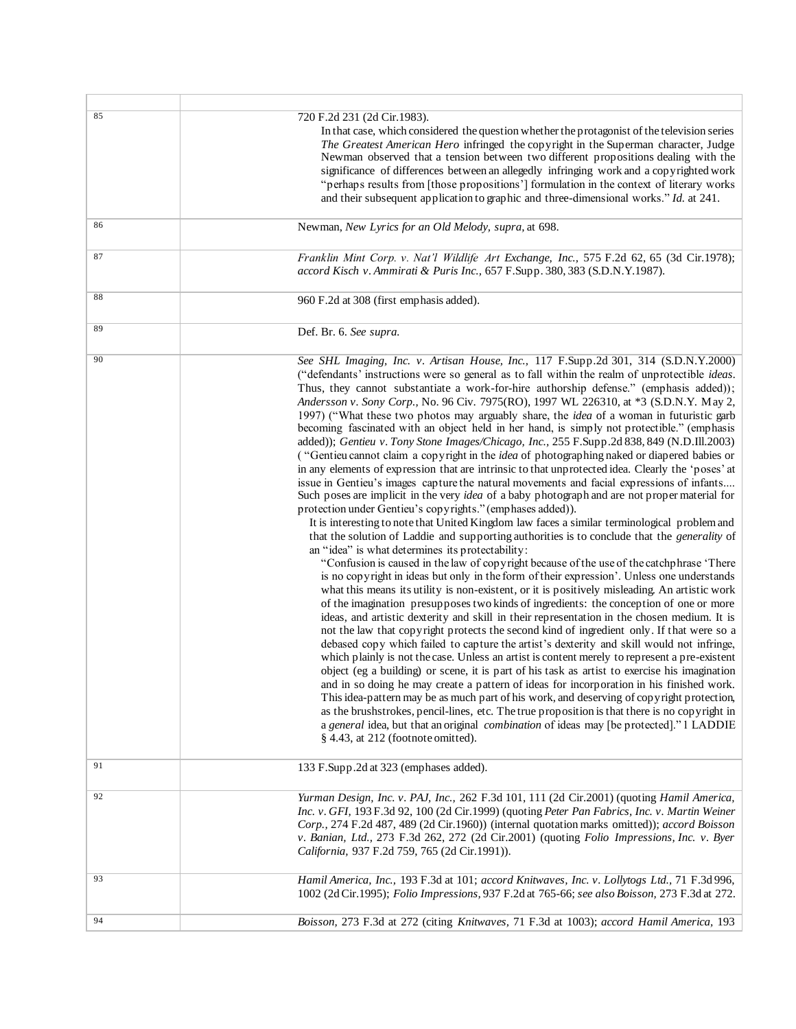| 85 | 720 F.2d 231 (2d Cir.1983).<br>In that case, which considered the question whether the protagonist of the television series<br>The Greatest American Hero infringed the copyright in the Superman character, Judge<br>Newman observed that a tension between two different propositions dealing with the<br>significance of differences between an allegedly infringing work and a copyrighted work<br>"perhaps results from [those propositions'] formulation in the context of literary works<br>and their subsequent application to graphic and three-dimensional works." Id. at 241.                                                                                                                                                                                                                                                                                                                                                                                                                                                                                                                                                                                                                                                                                                                                                                                                                                                                                                                                                                                                                                                                                                                                                                                                                                                                                                                                                                                                                                                                                                                                                                                                                                                                                                                                                                                                                                                                                                                                                                                                                                                                                                                                              |
|----|---------------------------------------------------------------------------------------------------------------------------------------------------------------------------------------------------------------------------------------------------------------------------------------------------------------------------------------------------------------------------------------------------------------------------------------------------------------------------------------------------------------------------------------------------------------------------------------------------------------------------------------------------------------------------------------------------------------------------------------------------------------------------------------------------------------------------------------------------------------------------------------------------------------------------------------------------------------------------------------------------------------------------------------------------------------------------------------------------------------------------------------------------------------------------------------------------------------------------------------------------------------------------------------------------------------------------------------------------------------------------------------------------------------------------------------------------------------------------------------------------------------------------------------------------------------------------------------------------------------------------------------------------------------------------------------------------------------------------------------------------------------------------------------------------------------------------------------------------------------------------------------------------------------------------------------------------------------------------------------------------------------------------------------------------------------------------------------------------------------------------------------------------------------------------------------------------------------------------------------------------------------------------------------------------------------------------------------------------------------------------------------------------------------------------------------------------------------------------------------------------------------------------------------------------------------------------------------------------------------------------------------------------------------------------------------------------------------------------------------|
| 86 | Newman, New Lyrics for an Old Melody, supra, at 698.                                                                                                                                                                                                                                                                                                                                                                                                                                                                                                                                                                                                                                                                                                                                                                                                                                                                                                                                                                                                                                                                                                                                                                                                                                                                                                                                                                                                                                                                                                                                                                                                                                                                                                                                                                                                                                                                                                                                                                                                                                                                                                                                                                                                                                                                                                                                                                                                                                                                                                                                                                                                                                                                                  |
| 87 | Franklin Mint Corp. v. Nat'l Wildlife Art Exchange, Inc., 575 F.2d 62, 65 (3d Cir.1978);<br>accord Kisch v. Ammirati & Puris Inc., 657 F.Supp. 380, 383 (S.D.N.Y.1987).                                                                                                                                                                                                                                                                                                                                                                                                                                                                                                                                                                                                                                                                                                                                                                                                                                                                                                                                                                                                                                                                                                                                                                                                                                                                                                                                                                                                                                                                                                                                                                                                                                                                                                                                                                                                                                                                                                                                                                                                                                                                                                                                                                                                                                                                                                                                                                                                                                                                                                                                                               |
| 88 | 960 F.2d at 308 (first emphasis added).                                                                                                                                                                                                                                                                                                                                                                                                                                                                                                                                                                                                                                                                                                                                                                                                                                                                                                                                                                                                                                                                                                                                                                                                                                                                                                                                                                                                                                                                                                                                                                                                                                                                                                                                                                                                                                                                                                                                                                                                                                                                                                                                                                                                                                                                                                                                                                                                                                                                                                                                                                                                                                                                                               |
| 89 | Def. Br. 6. See supra.                                                                                                                                                                                                                                                                                                                                                                                                                                                                                                                                                                                                                                                                                                                                                                                                                                                                                                                                                                                                                                                                                                                                                                                                                                                                                                                                                                                                                                                                                                                                                                                                                                                                                                                                                                                                                                                                                                                                                                                                                                                                                                                                                                                                                                                                                                                                                                                                                                                                                                                                                                                                                                                                                                                |
| 90 | See SHL Imaging, Inc. v. Artisan House, Inc., 117 F.Supp.2d 301, 314 (S.D.N.Y.2000)<br>("defendants' instructions were so general as to fall within the realm of unprotectible <i>ideas</i> .<br>Thus, they cannot substantiate a work-for-hire authorship defense." (emphasis added));<br>Andersson v. Sony Corp., No. 96 Civ. 7975(RO), 1997 WL 226310, at *3 (S.D.N.Y. May 2,<br>1997) ("What these two photos may arguably share, the <i>idea</i> of a woman in futuristic garb<br>becoming fascinated with an object held in her hand, is simply not protectible." (emphasis<br>added)); Gentieu v. Tony Stone Images/Chicago, Inc., 255 F.Supp.2d 838, 849 (N.D.Ill.2003)<br>("Gentieu cannot claim a copyright in the <i>idea</i> of photographing naked or diapered babies or<br>in any elements of expression that are intrinsic to that unprotected idea. Clearly the 'poses' at<br>issue in Gentieu's images capture the natural movements and facial expressions of infants<br>Such poses are implicit in the very <i>idea</i> of a baby photograph and are not proper material for<br>protection under Gentieu's copyrights." (emphases added)).<br>It is interesting to note that United Kingdom law faces a similar terminological problem and<br>that the solution of Laddie and supporting authorities is to conclude that the <i>generality</i> of<br>an "idea" is what determines its protectability:<br>"Confusion is caused in the law of copyright because of the use of the catchphrase 'There'<br>is no copyright in ideas but only in the form of their expression'. Unless one understands<br>what this means its utility is non-existent, or it is positively misleading. An artistic work<br>of the imagination presupposes two kinds of ingredients: the conception of one or more<br>ideas, and artistic dexterity and skill in their representation in the chosen medium. It is<br>not the law that copyright protects the second kind of ingredient only. If that were so a<br>debased copy which failed to capture the artist's dexterity and skill would not infringe,<br>which plainly is not the case. Unless an artist is content merely to represent a pre-existent<br>object (eg a building) or scene, it is part of his task as artist to exercise his imagination<br>and in so doing he may create a pattern of ideas for incorporation in his finished work.<br>This idea-pattern may be as much part of his work, and deserving of copyright protection,<br>as the brushstrokes, pencil-lines, etc. The true proposition is that there is no copyright in<br>a general idea, but that an original combination of ideas may [be protected]." 1 LADDIE<br>§ 4.43, at 212 (footnote omitted). |
| 91 | 133 F.Supp.2d at 323 (emphases added).                                                                                                                                                                                                                                                                                                                                                                                                                                                                                                                                                                                                                                                                                                                                                                                                                                                                                                                                                                                                                                                                                                                                                                                                                                                                                                                                                                                                                                                                                                                                                                                                                                                                                                                                                                                                                                                                                                                                                                                                                                                                                                                                                                                                                                                                                                                                                                                                                                                                                                                                                                                                                                                                                                |
| 92 | Yurman Design, Inc. v. PAJ, Inc., 262 F.3d 101, 111 (2d Cir.2001) (quoting Hamil America,<br>Inc. v. GFI, 193 F.3d 92, 100 (2d Cir.1999) (quoting Peter Pan Fabrics, Inc. v. Martin Weiner<br>Corp., 274 F.2d 487, 489 (2d Cir.1960)) (internal quotation marks omitted)); accord Boisson<br>v. Banian, Ltd., 273 F.3d 262, 272 (2d Cir.2001) (quoting Folio Impressions, Inc. v. Byer<br>California, 937 F.2d 759, 765 (2d Cir.1991)).                                                                                                                                                                                                                                                                                                                                                                                                                                                                                                                                                                                                                                                                                                                                                                                                                                                                                                                                                                                                                                                                                                                                                                                                                                                                                                                                                                                                                                                                                                                                                                                                                                                                                                                                                                                                                                                                                                                                                                                                                                                                                                                                                                                                                                                                                               |
| 93 | Hamil America, Inc., 193 F.3d at 101; accord Knitwaves, Inc. v. Lollytogs Ltd., 71 F.3d 996,<br>1002 (2d Cir.1995); Folio Impressions, 937 F.2d at 765-66; see also Boisson, 273 F.3d at 272.                                                                                                                                                                                                                                                                                                                                                                                                                                                                                                                                                                                                                                                                                                                                                                                                                                                                                                                                                                                                                                                                                                                                                                                                                                                                                                                                                                                                                                                                                                                                                                                                                                                                                                                                                                                                                                                                                                                                                                                                                                                                                                                                                                                                                                                                                                                                                                                                                                                                                                                                         |
| 94 | Boisson, 273 F.3d at 272 (citing Knitwaves, 71 F.3d at 1003); accord Hamil America, 193                                                                                                                                                                                                                                                                                                                                                                                                                                                                                                                                                                                                                                                                                                                                                                                                                                                                                                                                                                                                                                                                                                                                                                                                                                                                                                                                                                                                                                                                                                                                                                                                                                                                                                                                                                                                                                                                                                                                                                                                                                                                                                                                                                                                                                                                                                                                                                                                                                                                                                                                                                                                                                               |